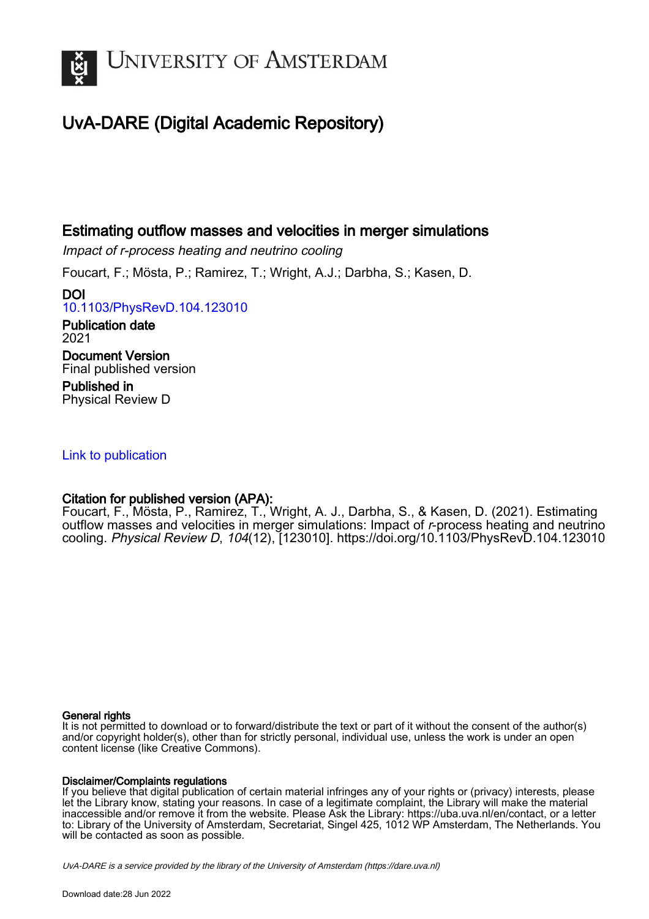

# UvA-DARE (Digital Academic Repository)

## Estimating outflow masses and velocities in merger simulations

Impact of r-process heating and neutrino cooling

Foucart, F.; Mösta, P.; Ramirez, T.; Wright, A.J.; Darbha, S.; Kasen, D.

DOI [10.1103/PhysRevD.104.123010](https://doi.org/10.1103/PhysRevD.104.123010)

Publication date 2021 Document Version Final published version Published in Physical Review D

## [Link to publication](https://dare.uva.nl/personal/pure/en/publications/estimating-outflow-masses-and-velocities-in-merger-simulations(62e9f262-1e22-4f3b-b74d-6a00cf30762e).html)

## Citation for published version (APA):

Foucart, F., Mösta, P., Ramirez, T., Wright, A. J., Darbha, S., & Kasen, D. (2021). Estimating outflow masses and velocities in merger simulations: Impact of r-process heating and neutrino cooling. Physical Review D, 104(12), [123010]. <https://doi.org/10.1103/PhysRevD.104.123010>

#### General rights

It is not permitted to download or to forward/distribute the text or part of it without the consent of the author(s) and/or copyright holder(s), other than for strictly personal, individual use, unless the work is under an open content license (like Creative Commons).

#### Disclaimer/Complaints regulations

If you believe that digital publication of certain material infringes any of your rights or (privacy) interests, please let the Library know, stating your reasons. In case of a legitimate complaint, the Library will make the material inaccessible and/or remove it from the website. Please Ask the Library: https://uba.uva.nl/en/contact, or a letter to: Library of the University of Amsterdam, Secretariat, Singel 425, 1012 WP Amsterdam, The Netherlands. You will be contacted as soon as possible.

UvA-DARE is a service provided by the library of the University of Amsterdam (http*s*://dare.uva.nl)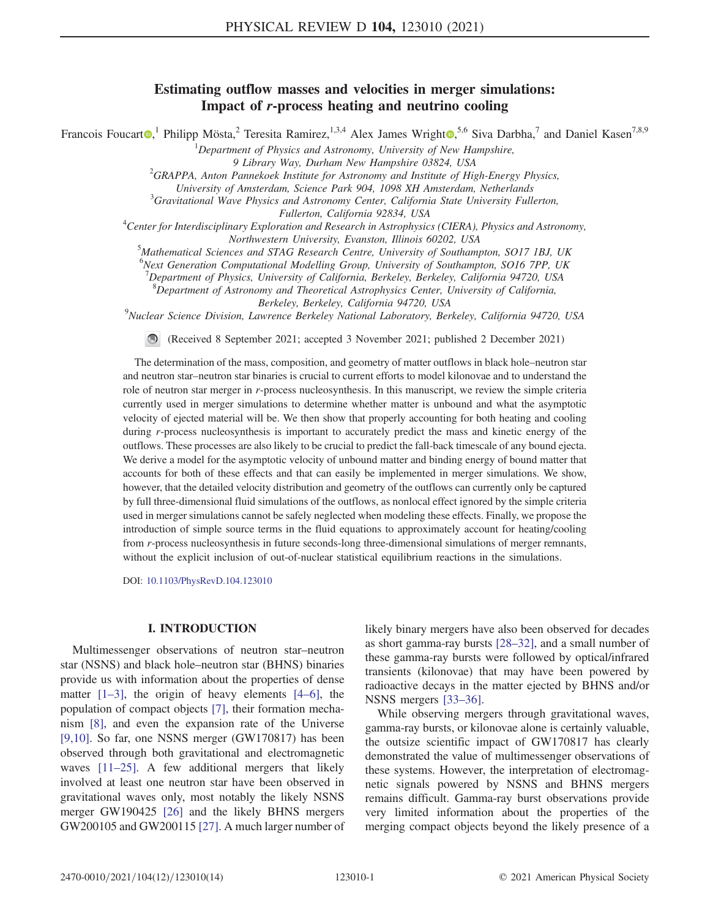### Estimating outflow masses and velocities in merger simulations: Impact of r-process heating and neutrino cooling

Francois Foucart<sup>®</sup>,<sup>1</sup> Philipp Mösta,<sup>2</sup> Teresita Ramirez,<sup>1,3,4</sup> Alex James Wright<sup>®</sup>,<sup>5,6</sup> Siva Darbha,<sup>7</sup> and Daniel Kasen<sup>7,8,9</sup>

<sup>1</sup>Department of Physics and Astronomy, University of New Hampshire,

9 Library Way, Durham New Hampshire 03824, USA <sup>2</sup>

GRAPPA, Anton Pannekoek Institute for Astronomy and Institute of High-Energy Physics,

University of Amsterdam, Science Park 904, 1098 XH Amsterdam, Netherlands <sup>3</sup>

 ${}^{3}$ Gravitational Wave Physics and Astronomy Center, California State University Fullerton,

Fullerton, California 92834, USA<br><sup>4</sup>Center for Interdisciplinary Exploration and Research in Astrophysics (CIERA), Physics and Astronomy, Northwestern University, Evanston, Illinois 60202, USA <sup>5</sup>

<sup>5</sup>Mathematical Sciences and STAG Research Centre, University of Southampton, SO17 1BJ, UK

<sup>6</sup>Next Generation Computational Modelling Group, University of Southampton, SO16 7PP, UK

 $^7$ Department of Physics, University of California, Berkeley, Berkeley, California 94720, USA

 ${}^{8}$ Department of Astronomy and Theoretical Astrophysics Center, University of California,

Berkeley, Berkeley, California 94720, USA<br><sup>9</sup>Nuclear Science Division, Lawrence Berkeley National Laboratory, Berkeley, California 94720, USA

(Received 8 September 2021; accepted 3 November 2021; published 2 December 2021)

The determination of the mass, composition, and geometry of matter outflows in black hole–neutron star and neutron star–neutron star binaries is crucial to current efforts to model kilonovae and to understand the role of neutron star merger in r-process nucleosynthesis. In this manuscript, we review the simple criteria currently used in merger simulations to determine whether matter is unbound and what the asymptotic velocity of ejected material will be. We then show that properly accounting for both heating and cooling during r-process nucleosynthesis is important to accurately predict the mass and kinetic energy of the outflows. These processes are also likely to be crucial to predict the fall-back timescale of any bound ejecta. We derive a model for the asymptotic velocity of unbound matter and binding energy of bound matter that accounts for both of these effects and that can easily be implemented in merger simulations. We show, however, that the detailed velocity distribution and geometry of the outflows can currently only be captured by full three-dimensional fluid simulations of the outflows, as nonlocal effect ignored by the simple criteria used in merger simulations cannot be safely neglected when modeling these effects. Finally, we propose the introduction of simple source terms in the fluid equations to approximately account for heating/cooling from r-process nucleosynthesis in future seconds-long three-dimensional simulations of merger remnants, without the explicit inclusion of out-of-nuclear statistical equilibrium reactions in the simulations.

DOI: [10.1103/PhysRevD.104.123010](https://doi.org/10.1103/PhysRevD.104.123010)

#### I. INTRODUCTION

Multimessenger observations of neutron star–neutron star (NSNS) and black hole–neutron star (BHNS) binaries provide us with information about the properties of dense matter  $[1-3]$  $[1-3]$  $[1-3]$  $[1-3]$  $[1-3]$ , the origin of heavy elements  $[4-6]$  $[4-6]$  $[4-6]$  $[4-6]$  $[4-6]$ , the population of compact objects [[7](#page-11-4)], their formation mechanism [[8](#page-11-5)], and even the expansion rate of the Universe [\[9,](#page-11-6)[10\]](#page-11-7). So far, one NSNS merger (GW170817) has been observed through both gravitational and electromagnetic waves [[11](#page-11-8)–[25](#page-12-0)]. A few additional mergers that likely involved at least one neutron star have been observed in gravitational waves only, most notably the likely NSNS merger GW190425 [\[26\]](#page-12-1) and the likely BHNS mergers GW200105 and GW200115 [[27](#page-12-2)]. A much larger number of

likely binary mergers have also been observed for decades as short gamma-ray bursts [\[28](#page-12-3)–[32](#page-12-4)], and a small number of these gamma-ray bursts were followed by optical/infrared transients (kilonovae) that may have been powered by radioactive decays in the matter ejected by BHNS and/or NSNS mergers [[33](#page-12-5)–[36\]](#page-12-6).

While observing mergers through gravitational waves, gamma-ray bursts, or kilonovae alone is certainly valuable, the outsize scientific impact of GW170817 has clearly demonstrated the value of multimessenger observations of these systems. However, the interpretation of electromagnetic signals powered by NSNS and BHNS mergers remains difficult. Gamma-ray burst observations provide very limited information about the properties of the merging compact objects beyond the likely presence of a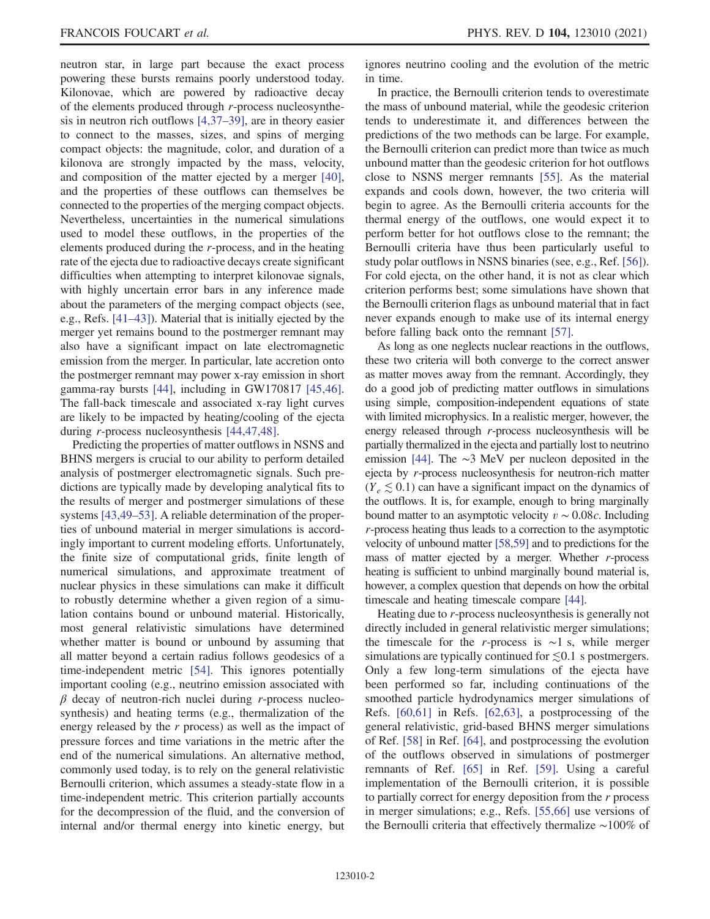neutron star, in large part because the exact process powering these bursts remains poorly understood today. Kilonovae, which are powered by radioactive decay of the elements produced through r-process nucleosynthesis in neutron rich outflows [[4](#page-11-2)[,37](#page-12-7)–[39\]](#page-13-0), are in theory easier to connect to the masses, sizes, and spins of merging compact objects: the magnitude, color, and duration of a kilonova are strongly impacted by the mass, velocity, and composition of the matter ejected by a merger [[40](#page-13-1)], and the properties of these outflows can themselves be connected to the properties of the merging compact objects. Nevertheless, uncertainties in the numerical simulations used to model these outflows, in the properties of the elements produced during the r-process, and in the heating rate of the ejecta due to radioactive decays create significant difficulties when attempting to interpret kilonovae signals, with highly uncertain error bars in any inference made about the parameters of the merging compact objects (see, e.g., Refs. [\[41](#page-13-2)–[43](#page-13-3)]). Material that is initially ejected by the merger yet remains bound to the postmerger remnant may also have a significant impact on late electromagnetic emission from the merger. In particular, late accretion onto the postmerger remnant may power x-ray emission in short gamma-ray bursts [\[44\]](#page-13-4), including in GW170817 [\[45,](#page-13-5)[46](#page-13-6)]. The fall-back timescale and associated x-ray light curves are likely to be impacted by heating/cooling of the ejecta during r-process nucleosynthesis [\[44,](#page-13-4)[47](#page-13-7),[48](#page-13-8)].

Predicting the properties of matter outflows in NSNS and BHNS mergers is crucial to our ability to perform detailed analysis of postmerger electromagnetic signals. Such predictions are typically made by developing analytical fits to the results of merger and postmerger simulations of these systems [[43](#page-13-3),[49](#page-13-9)–[53\]](#page-13-10). A reliable determination of the properties of unbound material in merger simulations is accordingly important to current modeling efforts. Unfortunately, the finite size of computational grids, finite length of numerical simulations, and approximate treatment of nuclear physics in these simulations can make it difficult to robustly determine whether a given region of a simulation contains bound or unbound material. Historically, most general relativistic simulations have determined whether matter is bound or unbound by assuming that all matter beyond a certain radius follows geodesics of a time-independent metric [\[54\]](#page-13-11). This ignores potentially important cooling (e.g., neutrino emission associated with  $\beta$  decay of neutron-rich nuclei during r-process nucleosynthesis) and heating terms (e.g., thermalization of the energy released by the  $r$  process) as well as the impact of pressure forces and time variations in the metric after the end of the numerical simulations. An alternative method, commonly used today, is to rely on the general relativistic Bernoulli criterion, which assumes a steady-state flow in a time-independent metric. This criterion partially accounts for the decompression of the fluid, and the conversion of internal and/or thermal energy into kinetic energy, but

ignores neutrino cooling and the evolution of the metric in time.

In practice, the Bernoulli criterion tends to overestimate the mass of unbound material, while the geodesic criterion tends to underestimate it, and differences between the predictions of the two methods can be large. For example, the Bernoulli criterion can predict more than twice as much unbound matter than the geodesic criterion for hot outflows close to NSNS merger remnants [\[55\]](#page-13-12). As the material expands and cools down, however, the two criteria will begin to agree. As the Bernoulli criteria accounts for the thermal energy of the outflows, one would expect it to perform better for hot outflows close to the remnant; the Bernoulli criteria have thus been particularly useful to study polar outflows in NSNS binaries (see, e.g., Ref. [\[56\]](#page-13-13)). For cold ejecta, on the other hand, it is not as clear which criterion performs best; some simulations have shown that the Bernoulli criterion flags as unbound material that in fact never expands enough to make use of its internal energy before falling back onto the remnant [[57](#page-13-14)].

As long as one neglects nuclear reactions in the outflows, these two criteria will both converge to the correct answer as matter moves away from the remnant. Accordingly, they do a good job of predicting matter outflows in simulations using simple, composition-independent equations of state with limited microphysics. In a realistic merger, however, the energy released through r-process nucleosynthesis will be partially thermalized in the ejecta and partially lost to neutrino emission [\[44](#page-13-4)]. The ∼3 MeV per nucleon deposited in the ejecta by r-process nucleosynthesis for neutron-rich matter  $(Y_e \leq 0.1)$  can have a significant impact on the dynamics of the outflows. It is, for example, enough to bring marginally bound matter to an asymptotic velocity  $v \sim 0.08c$ . Including r-process heating thus leads to a correction to the asymptotic velocity of unbound matter [\[58](#page-13-15),[59\]](#page-13-16) and to predictions for the mass of matter ejected by a merger. Whether  $r$ -process heating is sufficient to unbind marginally bound material is, however, a complex question that depends on how the orbital timescale and heating timescale compare [\[44\]](#page-13-4).

Heating due to r-process nucleosynthesis is generally not directly included in general relativistic merger simulations; the timescale for the r-process is  $\sim$ 1 s, while merger simulations are typically continued for  $\leq 0.1$  s postmergers. Only a few long-term simulations of the ejecta have been performed so far, including continuations of the smoothed particle hydrodynamics merger simulations of Refs. [\[60](#page-13-17)[,61\]](#page-13-18) in Refs. [\[62,](#page-13-19)[63](#page-13-20)], a postprocessing of the general relativistic, grid-based BHNS merger simulations of Ref. [[58](#page-13-15)] in Ref. [[64](#page-13-21)], and postprocessing the evolution of the outflows observed in simulations of postmerger remnants of Ref. [[65](#page-13-22)] in Ref. [[59\]](#page-13-16). Using a careful implementation of the Bernoulli criterion, it is possible to partially correct for energy deposition from the  $r$  process in merger simulations; e.g., Refs. [[55](#page-13-12),[66](#page-13-23)] use versions of the Bernoulli criteria that effectively thermalize ∼100% of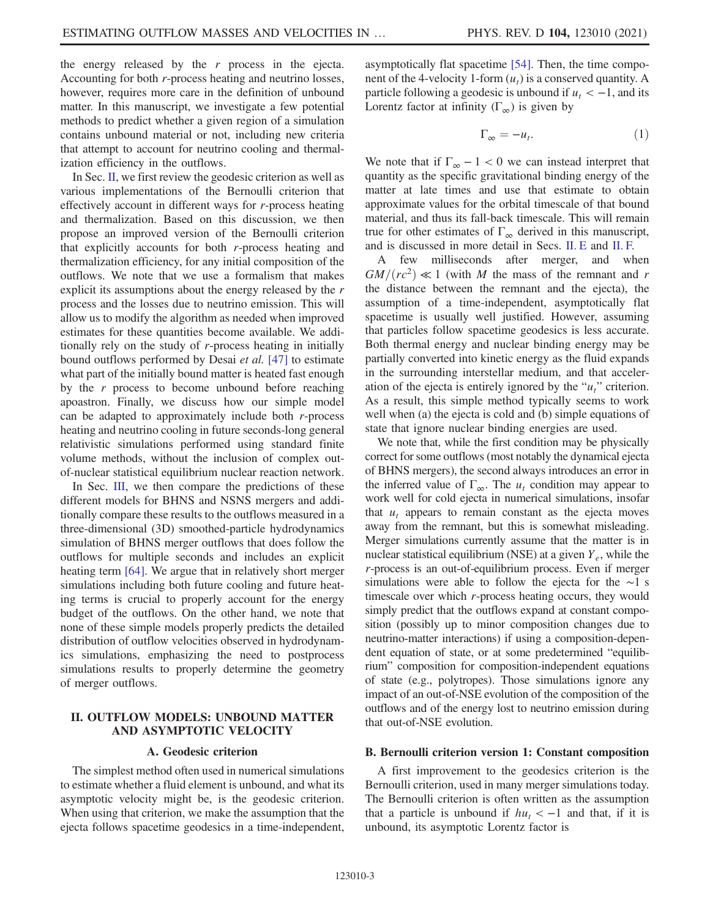the energy released by the  $r$  process in the ejecta. Accounting for both r-process heating and neutrino losses, however, requires more care in the definition of unbound matter. In this manuscript, we investigate a few potential methods to predict whether a given region of a simulation contains unbound material or not, including new criteria that attempt to account for neutrino cooling and thermalization efficiency in the outflows.

In Sec. [II,](#page-3-0) we first review the geodesic criterion as well as various implementations of the Bernoulli criterion that effectively account in different ways for r-process heating and thermalization. Based on this discussion, we then propose an improved version of the Bernoulli criterion that explicitly accounts for both r-process heating and thermalization efficiency, for any initial composition of the outflows. We note that we use a formalism that makes explicit its assumptions about the energy released by the r process and the losses due to neutrino emission. This will allow us to modify the algorithm as needed when improved estimates for these quantities become available. We additionally rely on the study of r-process heating in initially bound outflows performed by Desai et al. [[47](#page-13-7)] to estimate what part of the initially bound matter is heated fast enough by the  $r$  process to become unbound before reaching apoastron. Finally, we discuss how our simple model can be adapted to approximately include both  $r$ -process heating and neutrino cooling in future seconds-long general relativistic simulations performed using standard finite volume methods, without the inclusion of complex outof-nuclear statistical equilibrium nuclear reaction network.

In Sec. [III](#page-7-0), we then compare the predictions of these different models for BHNS and NSNS mergers and additionally compare these results to the outflows measured in a three-dimensional (3D) smoothed-particle hydrodynamics simulation of BHNS merger outflows that does follow the outflows for multiple seconds and includes an explicit heating term [[64](#page-13-21)]. We argue that in relatively short merger simulations including both future cooling and future heating terms is crucial to properly account for the energy budget of the outflows. On the other hand, we note that none of these simple models properly predicts the detailed distribution of outflow velocities observed in hydrodynamics simulations, emphasizing the need to postprocess simulations results to properly determine the geometry of merger outflows.

#### <span id="page-3-0"></span>II. OUTFLOW MODELS: UNBOUND MATTER AND ASYMPTOTIC VELOCITY

#### A. Geodesic criterion

The simplest method often used in numerical simulations to estimate whether a fluid element is unbound, and what its asymptotic velocity might be, is the geodesic criterion. When using that criterion, we make the assumption that the ejecta follows spacetime geodesics in a time-independent, asymptotically flat spacetime [[54\]](#page-13-11). Then, the time component of the 4-velocity 1-form  $(u_t)$  is a conserved quantity. A particle following a geodesic is unbound if  $u_t < -1$ , and its Lorentz factor at infinity ( $\Gamma_{\infty}$ ) is given by

$$
\Gamma_{\infty} = -u_t. \tag{1}
$$

We note that if  $\Gamma_{\infty} - 1 < 0$  we can instead interpret that quantity as the specific gravitational binding energy of the matter at late times and use that estimate to obtain approximate values for the orbital timescale of that bound material, and thus its fall-back timescale. This will remain true for other estimates of  $\Gamma_{\infty}$  derived in this manuscript, and is discussed in more detail in Secs. [II. E](#page-5-0) and [II. F.](#page-6-0)

A few milliseconds after merger, and when  $GM/(rc^2) \ll 1$  (with M the mass of the remnant and r the distance between the remnant and the ejecta), the assumption of a time-independent, asymptotically flat spacetime is usually well justified. However, assuming that particles follow spacetime geodesics is less accurate. Both thermal energy and nuclear binding energy may be partially converted into kinetic energy as the fluid expands in the surrounding interstellar medium, and that acceleration of the ejecta is entirely ignored by the " $u_t$ " criterion. As a result, this simple method typically seems to work well when (a) the ejecta is cold and (b) simple equations of state that ignore nuclear binding energies are used.

We note that, while the first condition may be physically correct for some outflows (most notably the dynamical ejecta of BHNS mergers), the second always introduces an error in the inferred value of  $\Gamma_{\infty}$ . The  $u_t$  condition may appear to work well for cold ejecta in numerical simulations, insofar that  $u_t$  appears to remain constant as the ejecta moves away from the remnant, but this is somewhat misleading. Merger simulations currently assume that the matter is in nuclear statistical equilibrium (NSE) at a given  $Y_e$ , while the r-process is an out-of-equilibrium process. Even if merger simulations were able to follow the ejecta for the ∼1 s timescale over which r-process heating occurs, they would simply predict that the outflows expand at constant composition (possibly up to minor composition changes due to neutrino-matter interactions) if using a composition-dependent equation of state, or at some predetermined "equilibrium" composition for composition-independent equations of state (e.g., polytropes). Those simulations ignore any impact of an out-of-NSE evolution of the composition of the outflows and of the energy lost to neutrino emission during that out-of-NSE evolution.

#### B. Bernoulli criterion version 1: Constant composition

A first improvement to the geodesics criterion is the Bernoulli criterion, used in many merger simulations today. The Bernoulli criterion is often written as the assumption that a particle is unbound if  $hu_t < -1$  and that, if it is unbound, its asymptotic Lorentz factor is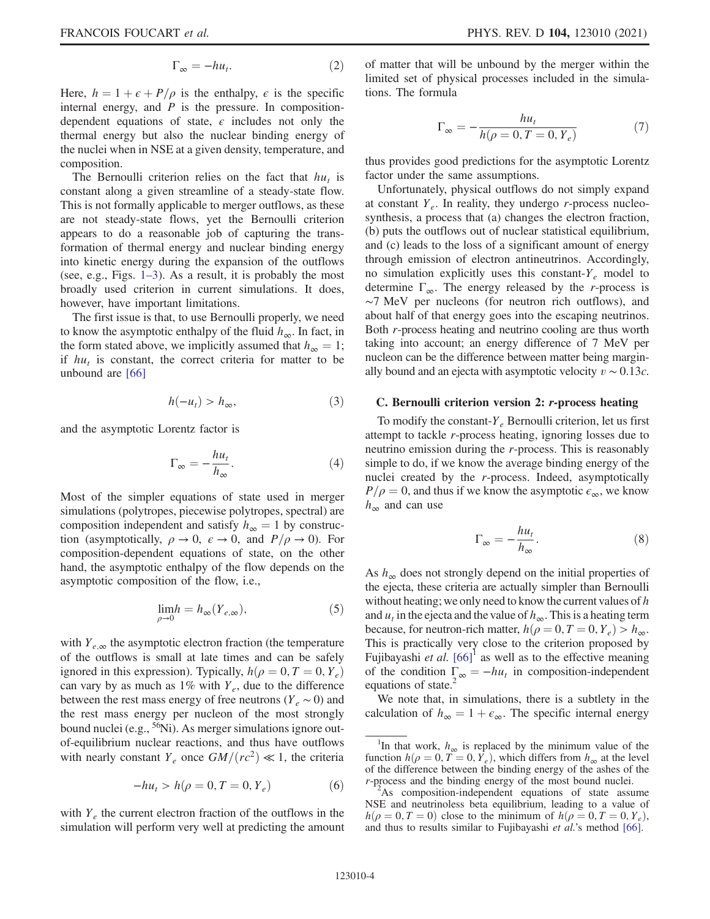$$
\Gamma_{\infty} = -h u_t. \tag{2}
$$

Here,  $h = 1 + \epsilon + P/\rho$  is the enthalpy,  $\epsilon$  is the specific internal energy, and  $P$  is the pressure. In compositiondependent equations of state,  $\epsilon$  includes not only the thermal energy but also the nuclear binding energy of the nuclei when in NSE at a given density, temperature, and composition.

The Bernoulli criterion relies on the fact that  $hu_t$  is constant along a given streamline of a steady-state flow. This is not formally applicable to merger outflows, as these are not steady-state flows, yet the Bernoulli criterion appears to do a reasonable job of capturing the transformation of thermal energy and nuclear binding energy into kinetic energy during the expansion of the outflows (see, e.g., Figs. 1–[3\)](#page-8-0). As a result, it is probably the most broadly used criterion in current simulations. It does, however, have important limitations.

The first issue is that, to use Bernoulli properly, we need to know the asymptotic enthalpy of the fluid  $h_{\infty}$ . In fact, in the form stated above, we implicitly assumed that  $h_{\infty} = 1$ ; if  $hu_t$  is constant, the correct criteria for matter to be unbound are [\[66](#page-13-23)]

$$
h(-u_t) > h_{\infty},\tag{3}
$$

and the asymptotic Lorentz factor is

$$
\Gamma_{\infty} = -\frac{hu_t}{h_{\infty}}.\tag{4}
$$

Most of the simpler equations of state used in merger simulations (polytropes, piecewise polytropes, spectral) are composition independent and satisfy  $h_{\infty} = 1$  by construction (asymptotically,  $\rho \to 0$ ,  $\varepsilon \to 0$ , and  $P/\rho \to 0$ ). For composition-dependent equations of state, on the other hand, the asymptotic enthalpy of the flow depends on the asymptotic composition of the flow, i.e.,

$$
\lim_{\rho \to 0} h = h_{\infty}(Y_{e,\infty}),\tag{5}
$$

with  $Y_{e,\infty}$  the asymptotic electron fraction (the temperature of the outflows is small at late times and can be safely ignored in this expression). Typically,  $h(\rho = 0, T = 0, Y_e)$ can vary by as much as  $1\%$  with  $Y_e$ , due to the difference between the rest mass energy of free neutrons ( $Y_e \sim 0$ ) and the rest mass energy per nucleon of the most strongly bound nuclei (e.g.,  $56Ni$ ). As merger simulations ignore outof-equilibrium nuclear reactions, and thus have outflows with nearly constant  $Y_e$  once  $GM/(rc^2) \ll 1$ , the criteria

$$
-hu_t > h(\rho = 0, T = 0, Y_e)
$$
 (6)

with  $Y_e$  the current electron fraction of the outflows in the simulation will perform very well at predicting the amount of matter that will be unbound by the merger within the limited set of physical processes included in the simulations. The formula

$$
\Gamma_{\infty} = -\frac{hu_t}{h(\rho = 0, T = 0, Y_e)}
$$
(7)

thus provides good predictions for the asymptotic Lorentz factor under the same assumptions.

Unfortunately, physical outflows do not simply expand at constant  $Y_e$ . In reality, they undergo r-process nucleosynthesis, a process that (a) changes the electron fraction, (b) puts the outflows out of nuclear statistical equilibrium, and (c) leads to the loss of a significant amount of energy through emission of electron antineutrinos. Accordingly, no simulation explicitly uses this constant- $Y_e$  model to determine  $\Gamma_{\infty}$ . The energy released by the *r*-process is ∼7 MeV per nucleons (for neutron rich outflows), and about half of that energy goes into the escaping neutrinos. Both r-process heating and neutrino cooling are thus worth taking into account; an energy difference of 7 MeV per nucleon can be the difference between matter being marginally bound and an ejecta with asymptotic velocity  $v \sim 0.13c$ .

#### C. Bernoulli criterion version 2: r-process heating

To modify the constant- $Y_e$  Bernoulli criterion, let us first attempt to tackle r-process heating, ignoring losses due to neutrino emission during the r-process. This is reasonably simple to do, if we know the average binding energy of the nuclei created by the r-process. Indeed, asymptotically  $P/\rho=0$ , and thus if we know the asymptotic  $\epsilon_{\infty}$ , we know  $h_{\infty}$  and can use

$$
\Gamma_{\infty} = -\frac{hu_t}{h_{\infty}}.\tag{8}
$$

As  $h_{\infty}$  does not strongly depend on the initial properties of the ejecta, these criteria are actually simpler than Bernoulli without heating; we only need to know the current values of  $h$ and  $u_t$  in the ejecta and the value of  $h_{\infty}$ . This is a heating term because, for neutron-rich matter,  $h(\rho = 0, T = 0, Y_e) > h_{\infty}$ . This is practically very close to the criterion proposed by Fujibayashi *et al.*  $[66]$  $[66]$ <sup>1</sup> as well as to the effective meaning of the condition  $\Gamma_{\infty} = -hu_t$  in composition-independent equations of state.<sup>2</sup>

We note that, in simulations, there is a subtlety in the calculation of  $h_{\infty} = 1 + \epsilon_{\infty}$ . The specific internal energy

<sup>&</sup>lt;sup>1</sup>In that work,  $h_{\infty}$  is replaced by the minimum value of the function  $h(\rho = 0, T = 0, Y_e)$ , which differs from  $h_{\infty}$  at the level of the difference between the binding energy of the ashes of the r-process and the binding energy of the most bound nuclei.

 $A$ s composition-independent equations of state assume NSE and neutrinoless beta equilibrium, leading to a value of  $h(\rho = 0, T = 0)$  close to the minimum of  $h(\rho = 0, T = 0, Y_e)$ , and thus to results similar to Fujibayashi et al.'s method [\[66\]](#page-13-23).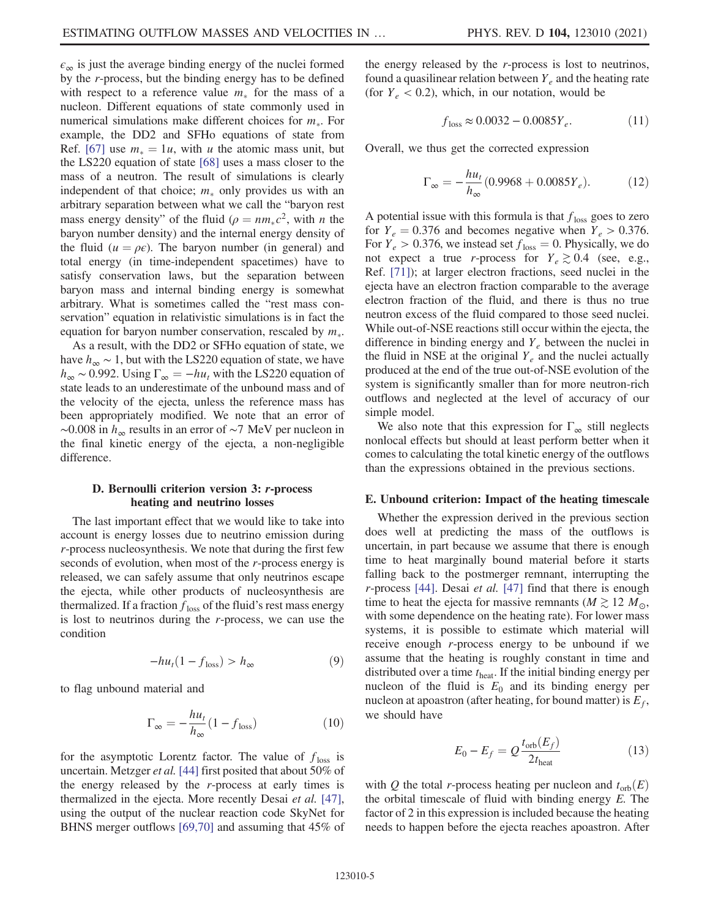$\epsilon_{\infty}$  is just the average binding energy of the nuclei formed by the r-process, but the binding energy has to be defined with respect to a reference value  $m_*$  for the mass of a nucleon. Different equations of state commonly used in numerical simulations make different choices for  $m_*$ . For example, the DD2 and SFHo equations of state from Ref. [[67](#page-13-24)] use  $m_* = 1u$ , with u the atomic mass unit, but the LS220 equation of state [\[68\]](#page-13-25) uses a mass closer to the mass of a neutron. The result of simulations is clearly independent of that choice;  $m_*$  only provides us with an arbitrary separation between what we call the "baryon rest mass energy density" of the fluid  $(\rho = nm_*c^2)$ , with *n* the baryon number density) and the internal energy density of the fluid ( $u = \rho \epsilon$ ). The baryon number (in general) and total energy (in time-independent spacetimes) have to satisfy conservation laws, but the separation between baryon mass and internal binding energy is somewhat arbitrary. What is sometimes called the "rest mass conservation" equation in relativistic simulations is in fact the equation for baryon number conservation, rescaled by  $m_*$ .

As a result, with the DD2 or SFHo equation of state, we have  $h_{\infty} \sim 1$ , but with the LS220 equation of state, we have  $h_{\infty}$  ~ 0.992. Using  $\Gamma_{\infty} = -hu_t$  with the LS220 equation of state leads to an underestimate of the unbound mass and of the velocity of the ejecta, unless the reference mass has been appropriately modified. We note that an error of  $\sim$ 0.008 in  $h_{\infty}$  results in an error of  $\sim$ 7 MeV per nucleon in the final kinetic energy of the ejecta, a non-negligible difference.

#### D. Bernoulli criterion version 3: r-process heating and neutrino losses

The last important effect that we would like to take into account is energy losses due to neutrino emission during r-process nucleosynthesis. We note that during the first few seconds of evolution, when most of the r-process energy is released, we can safely assume that only neutrinos escape the ejecta, while other products of nucleosynthesis are thermalized. If a fraction  $f_{\text{loss}}$  of the fluid's rest mass energy is lost to neutrinos during the r-process, we can use the condition

$$
-hu_t(1 - f_{\text{loss}}) > h_{\infty} \tag{9}
$$

<span id="page-5-3"></span>to flag unbound material and

$$
\Gamma_{\infty} = -\frac{hu_t}{h_{\infty}} (1 - f_{\text{loss}}) \tag{10}
$$

for the asymptotic Lorentz factor. The value of  $f_{\text{loss}}$  is uncertain. Metzger et al. [[44](#page-13-4)] first posited that about 50% of the energy released by the r-process at early times is thermalized in the ejecta. More recently Desai et al. [[47](#page-13-7)], using the output of the nuclear reaction code SkyNet for BHNS merger outflows [\[69](#page-14-0),[70](#page-14-1)] and assuming that 45% of the energy released by the r-process is lost to neutrinos, found a quasilinear relation between  $Y_e$  and the heating rate (for  $Y_e$  < 0.2), which, in our notation, would be

$$
f_{\text{loss}} \approx 0.0032 - 0.0085Y_e. \tag{11}
$$

<span id="page-5-1"></span>Overall, we thus get the corrected expression

$$
\Gamma_{\infty} = -\frac{hu_t}{h_{\infty}} (0.9968 + 0.0085 Y_e). \tag{12}
$$

A potential issue with this formula is that  $f_{\text{loss}}$  goes to zero for  $Y_e = 0.376$  and becomes negative when  $Y_e > 0.376$ . For  $Y_e > 0.376$ , we instead set  $f_{loss} = 0$ . Physically, we do not expect a true r-process for  $Y_e \gtrsim 0.4$  (see, e.g., Ref. [[71](#page-14-2)]); at larger electron fractions, seed nuclei in the ejecta have an electron fraction comparable to the average electron fraction of the fluid, and there is thus no true neutron excess of the fluid compared to those seed nuclei. While out-of-NSE reactions still occur within the ejecta, the difference in binding energy and  $Y_e$  between the nuclei in the fluid in NSE at the original  $Y_e$  and the nuclei actually produced at the end of the true out-of-NSE evolution of the system is significantly smaller than for more neutron-rich outflows and neglected at the level of accuracy of our simple model.

We also note that this expression for  $\Gamma_{\infty}$  still neglects nonlocal effects but should at least perform better when it comes to calculating the total kinetic energy of the outflows than the expressions obtained in the previous sections.

#### <span id="page-5-0"></span>E. Unbound criterion: Impact of the heating timescale

Whether the expression derived in the previous section does well at predicting the mass of the outflows is uncertain, in part because we assume that there is enough time to heat marginally bound material before it starts falling back to the postmerger remnant, interrupting the  $r$ -process [\[44\]](#page-13-4). Desai et al. [\[47\]](#page-13-7) find that there is enough time to heat the ejecta for massive remnants ( $M \gtrsim 12 M_{\odot}$ , with some dependence on the heating rate). For lower mass systems, it is possible to estimate which material will receive enough r-process energy to be unbound if we assume that the heating is roughly constant in time and distributed over a time  $t_{\text{heat}}$ . If the initial binding energy per nucleon of the fluid is  $E_0$  and its binding energy per nucleon at apoastron (after heating, for bound matter) is  $E_f$ , we should have

$$
E_0 - E_f = Q \frac{t_{\text{orb}}(E_f)}{2t_{\text{heat}}}
$$
\n(13)

<span id="page-5-2"></span>with Q the total r-process heating per nucleon and  $t_{\rm orb}(E)$ the orbital timescale of fluid with binding energy E. The factor of 2 in this expression is included because the heating needs to happen before the ejecta reaches apoastron. After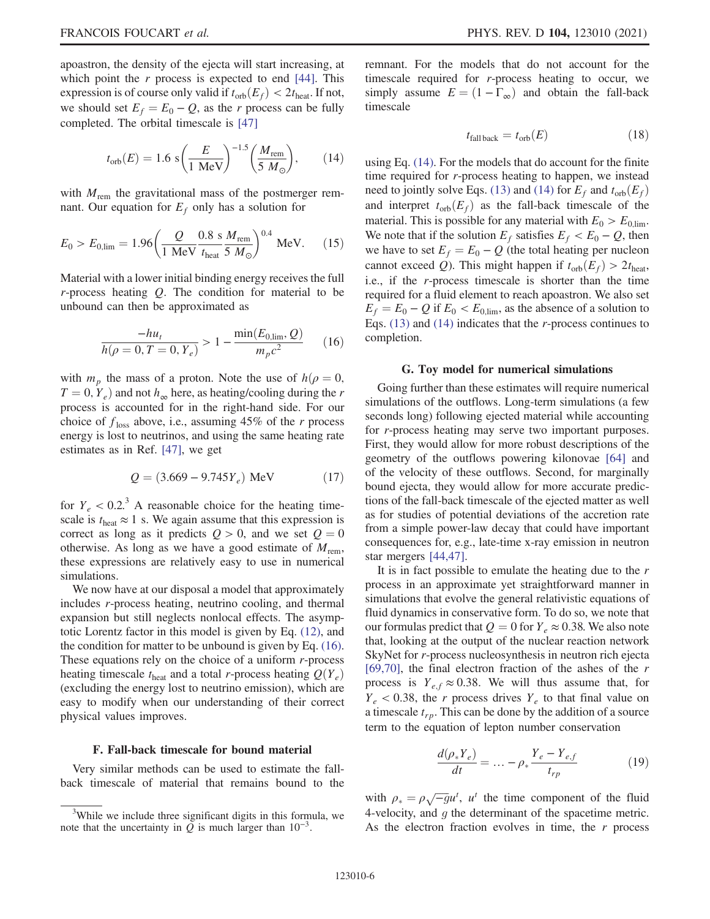<span id="page-6-2"></span>apoastron, the density of the ejecta will start increasing, at which point the  $r$  process is expected to end [[44](#page-13-4)]. This expression is of course only valid if  $t_{\rm orb}(E_f) < 2t_{\rm heat}$ . If not, we should set  $E_f = E_0 - Q$ , as the r process can be fully completed. The orbital timescale is [[47](#page-13-7)]

$$
t_{\rm orb}(E) = 1.6 \text{ s} \left(\frac{E}{1 \text{ MeV}}\right)^{-1.5} \left(\frac{M_{\rm rem}}{5 \text{ M}_{\odot}}\right),\tag{14}
$$

with  $M_{\text{rem}}$  the gravitational mass of the postmerger remnant. Our equation for  $E_f$  only has a solution for

$$
E_0 > E_{0,lim} = 1.96 \left( \frac{Q}{1 \text{ MeV}} \frac{0.8 \text{ s} M_{\text{rem}}}{t_{\text{heat}}} \right)^{0.4} \text{ MeV.}
$$
 (15)

<span id="page-6-1"></span>Material with a lower initial binding energy receives the full  $r$ -process heating  $Q$ . The condition for material to be unbound can then be approximated as

$$
\frac{-hu_t}{h(\rho=0, T=0, Y_e)} > 1 - \frac{\min(E_{0, \text{lim}}, Q)}{m_p c^2}
$$
 (16)

with  $m_p$  the mass of a proton. Note the use of  $h(\rho = 0,$  $T = 0, Y_e$  and not  $h_{\infty}$  here, as heating/cooling during the r process is accounted for in the right-hand side. For our choice of  $f_{loss}$  above, i.e., assuming 45% of the r process energy is lost to neutrinos, and using the same heating rate estimates as in Ref. [[47](#page-13-7)], we get

$$
Q = (3.669 - 9.745Y_e) \text{ MeV} \tag{17}
$$

for  $Y_e < 0.2$ <sup>3</sup> A reasonable choice for the heating timescale is  $t_{\text{heat}} \approx 1$  s. We again assume that this expression is correct as long as it predicts  $Q > 0$ , and we set  $Q = 0$ otherwise. As long as we have a good estimate of  $M_{\text{rem}}$ , these expressions are relatively easy to use in numerical simulations.

We now have at our disposal a model that approximately includes r-process heating, neutrino cooling, and thermal expansion but still neglects nonlocal effects. The asymptotic Lorentz factor in this model is given by Eq. [\(12\)](#page-5-1), and the condition for matter to be unbound is given by Eq. [\(16\)](#page-6-1). These equations rely on the choice of a uniform  $r$ -process heating timescale  $t_{\text{heat}}$  and a total r-process heating  $Q(Y_e)$ (excluding the energy lost to neutrino emission), which are easy to modify when our understanding of their correct physical values improves.

#### <span id="page-6-0"></span>F. Fall-back timescale for bound material

Very similar methods can be used to estimate the fallback timescale of material that remains bound to the remnant. For the models that do not account for the timescale required for r-process heating to occur, we simply assume  $E = (1 - \Gamma_{\infty})$  and obtain the fall-back timescale

$$
t_{\text{fall back}} = t_{\text{orb}}(E) \tag{18}
$$

using Eq. [\(14\).](#page-6-2) For the models that do account for the finite time required for r-process heating to happen, we instead need to jointly solve Eqs. [\(13\)](#page-5-2) and [\(14\)](#page-6-2) for  $E_f$  and  $t_{orb}(E_f)$ and interpret  $t_{\rm orb}(E_f)$  as the fall-back timescale of the material. This is possible for any material with  $E_0 > E_{0,\text{lim}}$ . We note that if the solution  $E_f$  satisfies  $E_f < E_0 - Q$ , then we have to set  $E_f = E_0 - Q$  (the total heating per nucleon cannot exceed Q). This might happen if  $t_{\text{orb}}(E_f) > 2t_{\text{heat}}$ , i.e., if the r-process timescale is shorter than the time required for a fluid element to reach apoastron. We also set  $E_f = E_0 - Q$  if  $E_0 < E_{0,lim}$ , as the absence of a solution to Eqs.  $(13)$  and  $(14)$  indicates that the *r*-process continues to completion.

#### G. Toy model for numerical simulations

Going further than these estimates will require numerical simulations of the outflows. Long-term simulations (a few seconds long) following ejected material while accounting for r-process heating may serve two important purposes. First, they would allow for more robust descriptions of the geometry of the outflows powering kilonovae [[64](#page-13-21)] and of the velocity of these outflows. Second, for marginally bound ejecta, they would allow for more accurate predictions of the fall-back timescale of the ejected matter as well as for studies of potential deviations of the accretion rate from a simple power-law decay that could have important consequences for, e.g., late-time x-ray emission in neutron star mergers [[44](#page-13-4),[47](#page-13-7)].

It is in fact possible to emulate the heating due to the  $r$ process in an approximate yet straightforward manner in simulations that evolve the general relativistic equations of fluid dynamics in conservative form. To do so, we note that our formulas predict that  $Q = 0$  for  $Y_e \approx 0.38$ . We also note that, looking at the output of the nuclear reaction network SkyNet for r-process nucleosynthesis in neutron rich ejecta [\[69](#page-14-0)[,70\]](#page-14-1), the final electron fraction of the ashes of the  $r$ process is  $Y_{e,f} \approx 0.38$ . We will thus assume that, for  $Y_e$  < 0.38, the r process drives  $Y_e$  to that final value on a timescale  $t_{rn}$ . This can be done by the addition of a source term to the equation of lepton number conservation

$$
\frac{d(\rho_* Y_e)}{dt} = \dots - \rho_* \frac{Y_e - Y_{e,f}}{t_{rp}} \tag{19}
$$

with  $\rho_* = \rho \sqrt{-g} u^t$ ,  $u^t$  the time component of the fluid 4-velocity, and  $g$  the determinant of the spacetime metric. As the electron fraction evolves in time, the  $r$  process

<sup>&</sup>lt;sup>3</sup>While we include three significant digits in this formula, we note that the uncertainty in  $Q$  is much larger than  $10^{-3}$ .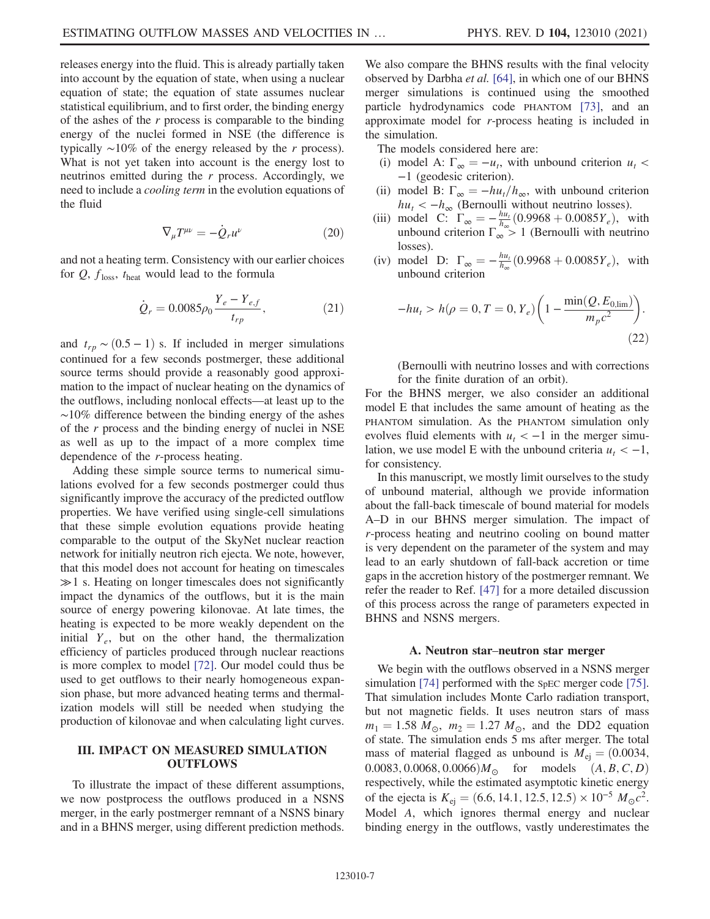releases energy into the fluid. This is already partially taken into account by the equation of state, when using a nuclear equation of state; the equation of state assumes nuclear statistical equilibrium, and to first order, the binding energy of the ashes of the  $r$  process is comparable to the binding energy of the nuclei formed in NSE (the difference is typically  $\sim$ 10% of the energy released by the r process). What is not yet taken into account is the energy lost to neutrinos emitted during the r process. Accordingly, we need to include a cooling term in the evolution equations of the fluid

$$
\nabla_{\mu}T^{\mu\nu} = -\dot{Q}_{r}u^{\nu} \tag{20}
$$

and not a heating term. Consistency with our earlier choices for  $Q$ ,  $f_{\text{loss}}$ ,  $t_{\text{heat}}$  would lead to the formula

$$
\dot{Q}_r = 0.0085 \rho_0 \frac{Y_e - Y_{e,f}}{t_{rp}},\tag{21}
$$

and  $t_{rp}$  ~  $(0.5 - 1)$  s. If included in merger simulations continued for a few seconds postmerger, these additional source terms should provide a reasonably good approximation to the impact of nuclear heating on the dynamics of the outflows, including nonlocal effects—at least up to the ∼10% difference between the binding energy of the ashes of the  $r$  process and the binding energy of nuclei in NSE as well as up to the impact of a more complex time dependence of the r-process heating.

Adding these simple source terms to numerical simulations evolved for a few seconds postmerger could thus significantly improve the accuracy of the predicted outflow properties. We have verified using single-cell simulations that these simple evolution equations provide heating comparable to the output of the SkyNet nuclear reaction network for initially neutron rich ejecta. We note, however, that this model does not account for heating on timescales  $\gg 1$  s. Heating on longer timescales does not significantly impact the dynamics of the outflows, but it is the main source of energy powering kilonovae. At late times, the heating is expected to be more weakly dependent on the initial  $Y_e$ , but on the other hand, the thermalization efficiency of particles produced through nuclear reactions is more complex to model [[72](#page-14-3)]. Our model could thus be used to get outflows to their nearly homogeneous expansion phase, but more advanced heating terms and thermalization models will still be needed when studying the production of kilonovae and when calculating light curves.

#### <span id="page-7-0"></span>III. IMPACT ON MEASURED SIMULATION **OUTFLOWS**

To illustrate the impact of these different assumptions, we now postprocess the outflows produced in a NSNS merger, in the early postmerger remnant of a NSNS binary and in a BHNS merger, using different prediction methods. We also compare the BHNS results with the final velocity observed by Darbha et al. [\[64\]](#page-13-21), in which one of our BHNS merger simulations is continued using the smoothed particle hydrodynamics code PHANTOM [[73](#page-14-4)], and an approximate model for r-process heating is included in the simulation.

- The models considered here are:
- (i) model A:  $\Gamma_{\infty} = -u_t$ , with unbound criterion  $u_t$  < −1 (geodesic criterion).
- (ii) model B:  $\Gamma_{\infty} = -h u_t/h_{\infty}$ , with unbound criterion  $hu_t < -h_\infty$  (Bernoulli without neutrino losses).
- (iii) model C:  $\Gamma_{\infty} = -\frac{hu_t}{h_{\infty}} (0.9968 + 0.0085Y_e)$ , with unbound criterion  $\Gamma_{\infty} > 1$  (Bernoulli with neutrino losses).
- (iv) model D:  $\Gamma_{\infty} = -\frac{hu_t}{h_{\infty}} (0.9968 + 0.0085Y_e)$ , with unbound criterion

$$
-hu_t > h(\rho = 0, T = 0, Y_e) \left( 1 - \frac{\min(Q, E_{0, \text{lim}})}{m_p c^2} \right).
$$
\n(22)

(Bernoulli with neutrino losses and with corrections for the finite duration of an orbit).

For the BHNS merger, we also consider an additional model E that includes the same amount of heating as the PHANTOM simulation. As the PHANTOM simulation only evolves fluid elements with  $u_t < -1$  in the merger simulation, we use model E with the unbound criteria  $u_t < -1$ , for consistency.

In this manuscript, we mostly limit ourselves to the study of unbound material, although we provide information about the fall-back timescale of bound material for models A–D in our BHNS merger simulation. The impact of r-process heating and neutrino cooling on bound matter is very dependent on the parameter of the system and may lead to an early shutdown of fall-back accretion or time gaps in the accretion history of the postmerger remnant. We refer the reader to Ref. [\[47](#page-13-7)] for a more detailed discussion of this process across the range of parameters expected in BHNS and NSNS mergers.

#### A. Neutron star–neutron star merger

We begin with the outflows observed in a NSNS merger simulation [[74](#page-14-5)] performed with the SpEC merger code [[75](#page-14-6)]. That simulation includes Monte Carlo radiation transport, but not magnetic fields. It uses neutron stars of mass  $m_1 = 1.58 M_{\odot}$ ,  $m_2 = 1.27 M_{\odot}$ , and the DD2 equation of state. The simulation ends 5 ms after merger. The total mass of material flagged as unbound is  $M_{\text{ei}} = (0.0034,$ 0.0083, 0.0068, 0.0066) $M_{\odot}$  for models  $(A, B, C, D)$ respectively, while the estimated asymptotic kinetic energy of the ejecta is  $K_{ei} = (6.6, 14.1, 12.5, 12.5) \times 10^{-5} M_{\odot}c^2$ . Model A, which ignores thermal energy and nuclear binding energy in the outflows, vastly underestimates the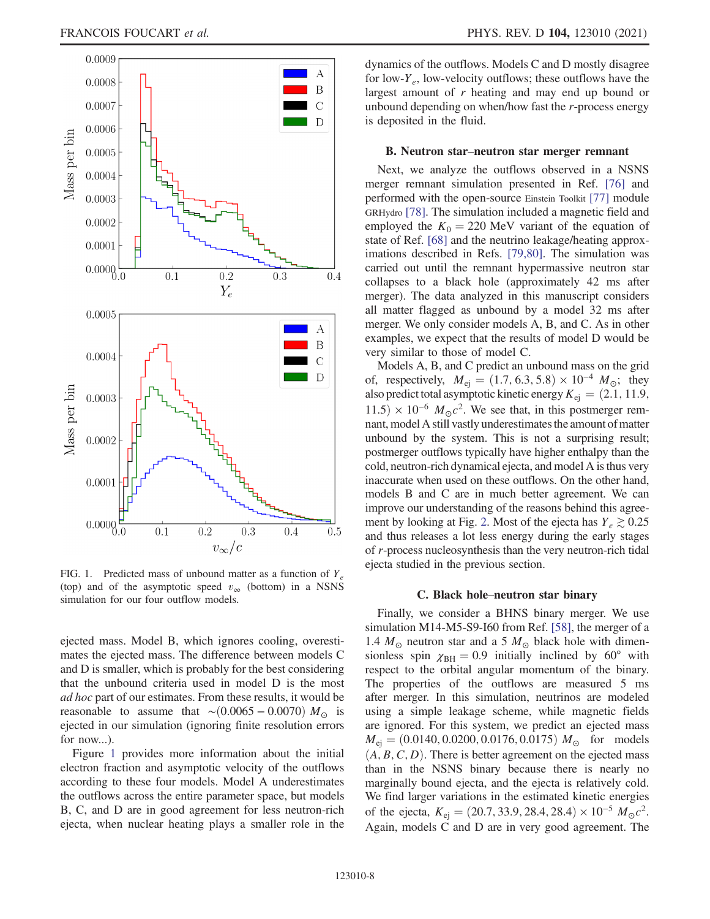<span id="page-8-0"></span>

FIG. 1. Predicted mass of unbound matter as a function of  $Y_e$ (top) and of the asymptotic speed  $v_{\infty}$  (bottom) in a NSNS simulation for our four outflow models.

ejected mass. Model B, which ignores cooling, overestimates the ejected mass. The difference between models C and D is smaller, which is probably for the best considering that the unbound criteria used in model D is the most ad hoc part of our estimates. From these results, it would be reasonable to assume that ∼ $(0.0065 - 0.0070) M_{\odot}$  is ejected in our simulation (ignoring finite resolution errors for now...).

Figure [1](#page-8-0) provides more information about the initial electron fraction and asymptotic velocity of the outflows according to these four models. Model A underestimates the outflows across the entire parameter space, but models B, C, and D are in good agreement for less neutron-rich ejecta, when nuclear heating plays a smaller role in the dynamics of the outflows. Models C and D mostly disagree for low- $Y_e$ , low-velocity outflows; these outflows have the largest amount of r heating and may end up bound or unbound depending on when/how fast the r-process energy is deposited in the fluid.

#### B. Neutron star–neutron star merger remnant

Next, we analyze the outflows observed in a NSNS merger remnant simulation presented in Ref. [\[76\]](#page-14-7) and performed with the open-source Einstein Toolkit [[77](#page-14-8)] module GRHydro [\[78\]](#page-14-9). The simulation included a magnetic field and employed the  $K_0 = 220$  MeV variant of the equation of state of Ref. [\[68\]](#page-13-25) and the neutrino leakage/heating approximations described in Refs. [\[79,](#page-14-10)[80\]](#page-14-11). The simulation was carried out until the remnant hypermassive neutron star collapses to a black hole (approximately 42 ms after merger). The data analyzed in this manuscript considers all matter flagged as unbound by a model 32 ms after merger. We only consider models A, B, and C. As in other examples, we expect that the results of model D would be very similar to those of model C.

Models A, B, and C predict an unbound mass on the grid of, respectively,  $M_{\text{ej}} = (1.7, 6.3, 5.8) \times 10^{-4} M_{\odot}$ ; they also predict total asymptotic kinetic energy  $K_{\text{ei}} = (2.1, 11.9, )$  $11.5 \times 10^{-6}$   $M_{\odot}c^2$ . We see that, in this postmerger remnant, model A still vastly underestimates the amount of matter unbound by the system. This is not a surprising result; postmerger outflows typically have higher enthalpy than the cold, neutron-rich dynamical ejecta, and model A is thus very inaccurate when used on these outflows. On the other hand, models B and C are in much better agreement. We can improve our understanding of the reasons behind this agree-ment by looking at Fig. [2.](#page-9-0) Most of the ejecta has  $Y_e \gtrsim 0.25$ and thus releases a lot less energy during the early stages of r-process nucleosynthesis than the very neutron-rich tidal ejecta studied in the previous section.

#### C. Black hole–neutron star binary

Finally, we consider a BHNS binary merger. We use simulation M14-M5-S9-I60 from Ref. [[58](#page-13-15)], the merger of a 1.4  $M_{\odot}$  neutron star and a 5  $M_{\odot}$  black hole with dimensionless spin  $\chi$ <sub>BH</sub> = 0.9 initially inclined by 60° with respect to the orbital angular momentum of the binary. The properties of the outflows are measured 5 ms after merger. In this simulation, neutrinos are modeled using a simple leakage scheme, while magnetic fields are ignored. For this system, we predict an ejected mass  $M_{\text{ej}} = (0.0140, 0.0200, 0.0176, 0.0175) M_{\odot}$  for models  $(A, B, C, D)$ . There is better agreement on the ejected mass than in the NSNS binary because there is nearly no marginally bound ejecta, and the ejecta is relatively cold. We find larger variations in the estimated kinetic energies of the ejecta,  $K_{\text{ej}} = (20.7, 33.9, 28.4, 28.4) \times 10^{-5} M_{\odot} c^2$ . Again, models C and D are in very good agreement. The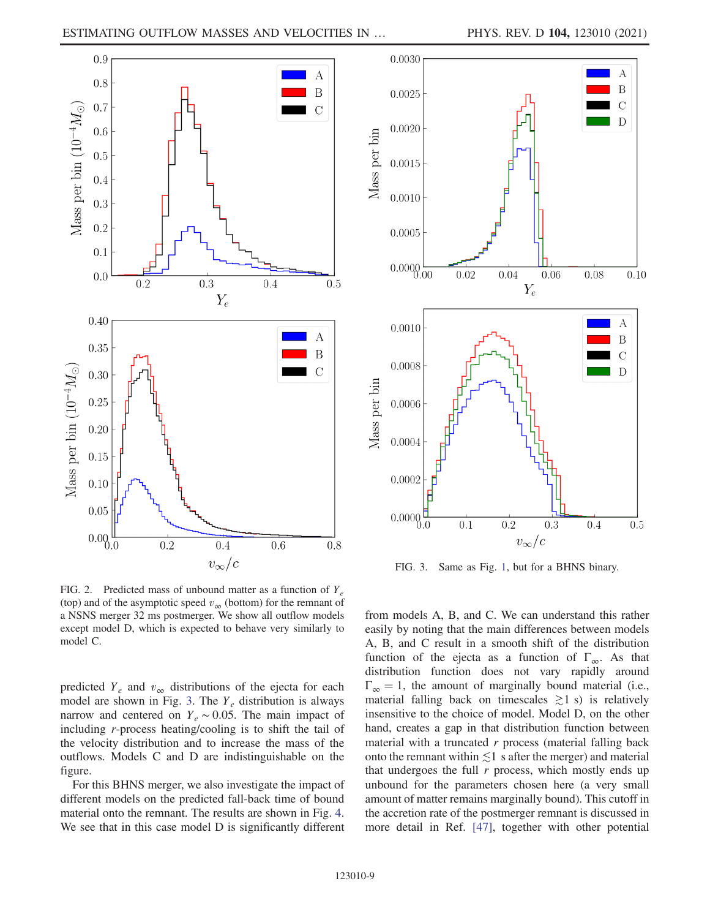<span id="page-9-0"></span>

FIG. 2. Predicted mass of unbound matter as a function of  $Y_e$ (top) and of the asymptotic speed  $v_{\infty}$  (bottom) for the remnant of a NSNS merger 32 ms postmerger. We show all outflow models except model D, which is expected to behave very similarly to model C.

predicted  $Y_e$  and  $v_\infty$  distributions of the ejecta for each model are shown in Fig. [3.](#page-9-1) The  $Y_e$  distribution is always narrow and centered on  $Y_e \sim 0.05$ . The main impact of including r-process heating/cooling is to shift the tail of the velocity distribution and to increase the mass of the outflows. Models C and D are indistinguishable on the figure.

For this BHNS merger, we also investigate the impact of different models on the predicted fall-back time of bound material onto the remnant. The results are shown in Fig. [4](#page-10-0). We see that in this case model D is significantly different

<span id="page-9-1"></span>

FIG. 3. Same as Fig. [1,](#page-8-0) but for a BHNS binary.

from models A, B, and C. We can understand this rather easily by noting that the main differences between models A, B, and C result in a smooth shift of the distribution function of the ejecta as a function of  $\Gamma_{\infty}$ . As that distribution function does not vary rapidly around  $\Gamma_{\infty} = 1$ , the amount of marginally bound material (i.e., material falling back on timescales  $\gtrsim$ 1 s) is relatively insensitive to the choice of model. Model D, on the other hand, creates a gap in that distribution function between material with a truncated  $r$  process (material falling back onto the remnant within  $\leq 1$  s after the merger) and material that undergoes the full  $r$  process, which mostly ends up unbound for the parameters chosen here (a very small amount of matter remains marginally bound). This cutoff in the accretion rate of the postmerger remnant is discussed in more detail in Ref. [[47](#page-13-7)], together with other potential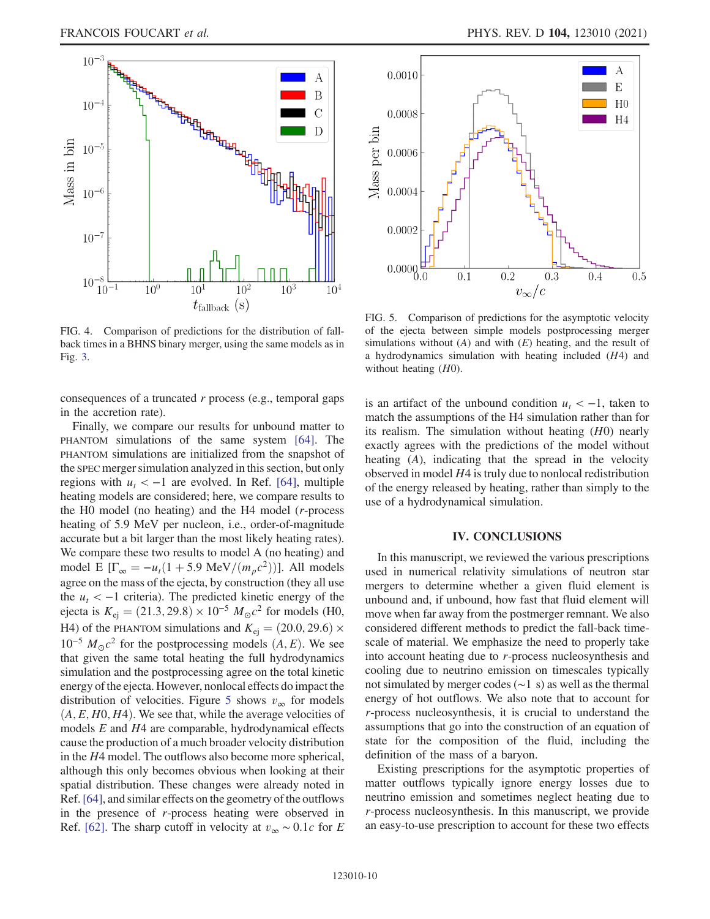<span id="page-10-0"></span>

FIG. 4. Comparison of predictions for the distribution of fallback times in a BHNS binary merger, using the same models as in Fig. [3](#page-9-1).

consequences of a truncated  $r$  process (e.g., temporal gaps in the accretion rate).

Finally, we compare our results for unbound matter to PHANTOM simulations of the same system [\[64\]](#page-13-21). The PHANTOM simulations are initialized from the snapshot of the SPEC merger simulation analyzed in this section, but only regions with  $u_t < -1$  are evolved. In Ref. [[64](#page-13-21)], multiple heating models are considered; here, we compare results to the H0 model (no heating) and the H4 model (r-process heating of 5.9 MeV per nucleon, i.e., order-of-magnitude accurate but a bit larger than the most likely heating rates). We compare these two results to model A (no heating) and model E [ $\Gamma_{\infty} = -u_t(1 + 5.9 \text{ MeV}/(m_p c^2))$ ]. All models agree on the mass of the ejecta, by construction (they all use the  $u_t < -1$  criteria). The predicted kinetic energy of the ejecta is  $K_{\text{ej}} = (21.3, 29.8) \times 10^{-5} M_{\odot}c^2$  for models (H0, H4) of the PHANTOM simulations and  $K_{\text{ej}} = (20.0, 29.6) \times$  $10^{-5} M_{\odot}c^2$  for the postprocessing models  $(A, E)$ . We see that given the same total heating the full hydrodynamics simulation and the postprocessing agree on the total kinetic energy of the ejecta. However, nonlocal effects do impact the distribution of velocities. Figure [5](#page-10-1) shows  $v_{\infty}$  for models  $(A, E, H0, H4)$ . We see that, while the average velocities of models E and H4 are comparable, hydrodynamical effects cause the production of a much broader velocity distribution in the H4 model. The outflows also become more spherical, although this only becomes obvious when looking at their spatial distribution. These changes were already noted in Ref.[[64](#page-13-21)], and similar effects on the geometry of the outflows in the presence of r-process heating were observed in Ref. [\[62\]](#page-13-19). The sharp cutoff in velocity at  $v_{\infty} \sim 0.1c$  for E

<span id="page-10-1"></span>

FIG. 5. Comparison of predictions for the asymptotic velocity of the ejecta between simple models postprocessing merger simulations without  $(A)$  and with  $(E)$  heating, and the result of a hydrodynamics simulation with heating included (H4) and without heating  $(H0)$ .

is an artifact of the unbound condition  $u_t < -1$ , taken to match the assumptions of the H4 simulation rather than for its realism. The simulation without heating (H0) nearly exactly agrees with the predictions of the model without heating (A), indicating that the spread in the velocity observed in model H4 is truly due to nonlocal redistribution of the energy released by heating, rather than simply to the use of a hydrodynamical simulation.

#### IV. CONCLUSIONS

In this manuscript, we reviewed the various prescriptions used in numerical relativity simulations of neutron star mergers to determine whether a given fluid element is unbound and, if unbound, how fast that fluid element will move when far away from the postmerger remnant. We also considered different methods to predict the fall-back timescale of material. We emphasize the need to properly take into account heating due to r-process nucleosynthesis and cooling due to neutrino emission on timescales typically not simulated by merger codes (∼1 s) as well as the thermal energy of hot outflows. We also note that to account for r-process nucleosynthesis, it is crucial to understand the assumptions that go into the construction of an equation of state for the composition of the fluid, including the definition of the mass of a baryon.

Existing prescriptions for the asymptotic properties of matter outflows typically ignore energy losses due to neutrino emission and sometimes neglect heating due to r-process nucleosynthesis. In this manuscript, we provide an easy-to-use prescription to account for these two effects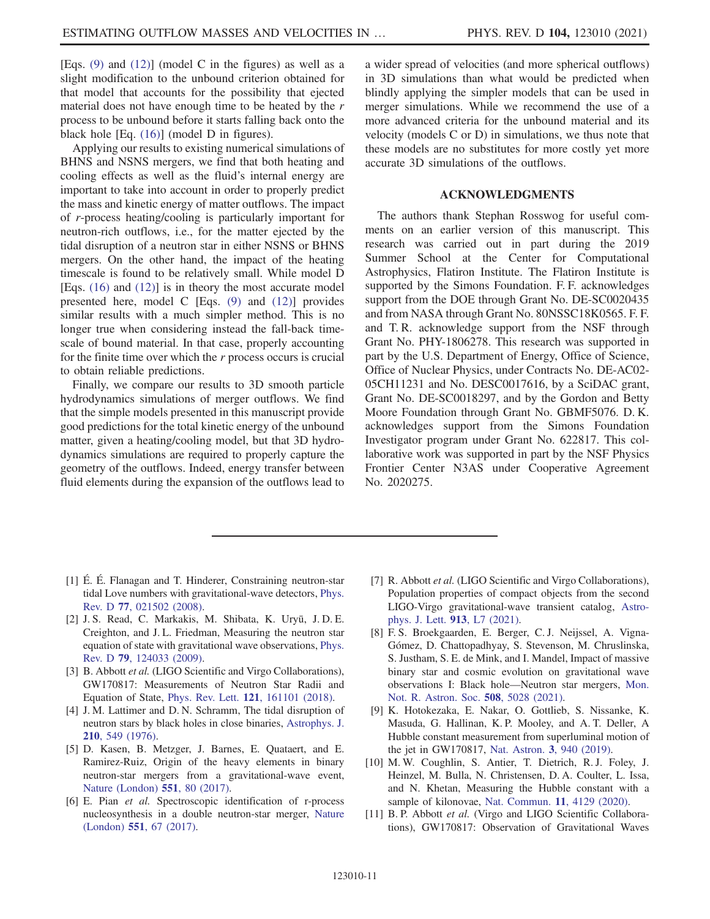[Eqs. [\(9\)](#page-5-3) and [\(12\)\]](#page-5-1) (model C in the figures) as well as a slight modification to the unbound criterion obtained for that model that accounts for the possibility that ejected material does not have enough time to be heated by the r process to be unbound before it starts falling back onto the black hole [Eq. [\(16\)](#page-6-1)] (model D in figures).

Applying our results to existing numerical simulations of BHNS and NSNS mergers, we find that both heating and cooling effects as well as the fluid's internal energy are important to take into account in order to properly predict the mass and kinetic energy of matter outflows. The impact of r-process heating/cooling is particularly important for neutron-rich outflows, i.e., for the matter ejected by the tidal disruption of a neutron star in either NSNS or BHNS mergers. On the other hand, the impact of the heating timescale is found to be relatively small. While model D [Eqs. [\(16\)](#page-6-1) and [\(12\)\]](#page-5-1) is in theory the most accurate model presented here, model C [Eqs. [\(9\)](#page-5-3) and [\(12\)](#page-5-1)] provides similar results with a much simpler method. This is no longer true when considering instead the fall-back timescale of bound material. In that case, properly accounting for the finite time over which the  $r$  process occurs is crucial to obtain reliable predictions.

Finally, we compare our results to 3D smooth particle hydrodynamics simulations of merger outflows. We find that the simple models presented in this manuscript provide good predictions for the total kinetic energy of the unbound matter, given a heating/cooling model, but that 3D hydrodynamics simulations are required to properly capture the geometry of the outflows. Indeed, energy transfer between fluid elements during the expansion of the outflows lead to a wider spread of velocities (and more spherical outflows) in 3D simulations than what would be predicted when blindly applying the simpler models that can be used in merger simulations. While we recommend the use of a more advanced criteria for the unbound material and its velocity (models C or D) in simulations, we thus note that these models are no substitutes for more costly yet more accurate 3D simulations of the outflows.

#### ACKNOWLEDGMENTS

The authors thank Stephan Rosswog for useful comments on an earlier version of this manuscript. This research was carried out in part during the 2019 Summer School at the Center for Computational Astrophysics, Flatiron Institute. The Flatiron Institute is supported by the Simons Foundation. F. F. acknowledges support from the DOE through Grant No. DE-SC0020435 and from NASA through Grant No. 80NSSC18K0565. F. F. and T. R. acknowledge support from the NSF through Grant No. PHY-1806278. This research was supported in part by the U.S. Department of Energy, Office of Science, Office of Nuclear Physics, under Contracts No. DE-AC02- 05CH11231 and No. DESC0017616, by a SciDAC grant, Grant No. DE-SC0018297, and by the Gordon and Betty Moore Foundation through Grant No. GBMF5076. D. K. acknowledges support from the Simons Foundation Investigator program under Grant No. 622817. This collaborative work was supported in part by the NSF Physics Frontier Center N3AS under Cooperative Agreement No. 2020275.

- <span id="page-11-0"></span>[1] É. É. Flanagan and T. Hinderer, Constraining neutron-star tidal Love numbers with gravitational-wave detectors, [Phys.](https://doi.org/10.1103/PhysRevD.77.021502) Rev. D 77[, 021502 \(2008\)](https://doi.org/10.1103/PhysRevD.77.021502).
- [2] J. S. Read, C. Markakis, M. Shibata, K. Uryū, J. D. E. Creighton, and J. L. Friedman, Measuring the neutron star equation of state with gravitational wave observations, [Phys.](https://doi.org/10.1103/PhysRevD.79.124033) Rev. D 79[, 124033 \(2009\)](https://doi.org/10.1103/PhysRevD.79.124033).
- <span id="page-11-1"></span>[3] B. Abbott et al. (LIGO Scientific and Virgo Collaborations), GW170817: Measurements of Neutron Star Radii and Equation of State, Phys. Rev. Lett. 121[, 161101 \(2018\).](https://doi.org/10.1103/PhysRevLett.121.161101)
- <span id="page-11-2"></span>[4] J. M. Lattimer and D. N. Schramm, The tidal disruption of neutron stars by black holes in close binaries, [Astrophys. J.](https://doi.org/10.1086/154860) 210[, 549 \(1976\)](https://doi.org/10.1086/154860).
- [5] D. Kasen, B. Metzger, J. Barnes, E. Quataert, and E. Ramirez-Ruiz, Origin of the heavy elements in binary neutron-star mergers from a gravitational-wave event, [Nature \(London\)](https://doi.org/10.1038/nature24453) 551, 80 (2017).
- <span id="page-11-3"></span>[6] E. Pian et al. Spectroscopic identification of r-process nucleosynthesis in a double neutron-star merger, [Nature](https://doi.org/10.1038/nature24298) (London) 551[, 67 \(2017\).](https://doi.org/10.1038/nature24298)
- <span id="page-11-4"></span>[7] R. Abbott et al. (LIGO Scientific and Virgo Collaborations), Population properties of compact objects from the second LIGO-Virgo gravitational-wave transient catalog, [Astro](https://doi.org/10.3847/2041-8213/abe949)[phys. J. Lett.](https://doi.org/10.3847/2041-8213/abe949) 913, L7 (2021).
- <span id="page-11-5"></span>[8] F. S. Broekgaarden, E. Berger, C. J. Neijssel, A. Vigna-Gómez, D. Chattopadhyay, S. Stevenson, M. Chruslinska, S. Justham, S. E. de Mink, and I. Mandel, Impact of massive binary star and cosmic evolution on gravitational wave observations I: Black hole—Neutron star mergers, [Mon.](https://doi.org/10.1093/mnras/stab2716) [Not. R. Astron. Soc.](https://doi.org/10.1093/mnras/stab2716) 508, 5028 (2021).
- <span id="page-11-6"></span>[9] K. Hotokezaka, E. Nakar, O. Gottlieb, S. Nissanke, K. Masuda, G. Hallinan, K. P. Mooley, and A. T. Deller, A Hubble constant measurement from superluminal motion of the jet in GW170817, Nat. Astron. 3[, 940 \(2019\).](https://doi.org/10.1038/s41550-019-0820-1)
- <span id="page-11-7"></span>[10] M. W. Coughlin, S. Antier, T. Dietrich, R. J. Foley, J. Heinzel, M. Bulla, N. Christensen, D. A. Coulter, L. Issa, and N. Khetan, Measuring the Hubble constant with a sample of kilonovae, [Nat. Commun.](https://doi.org/10.1038/s41467-020-17998-5) 11, 4129 (2020).
- <span id="page-11-8"></span>[11] B. P. Abbott et al. (Virgo and LIGO Scientific Collaborations), GW170817: Observation of Gravitational Waves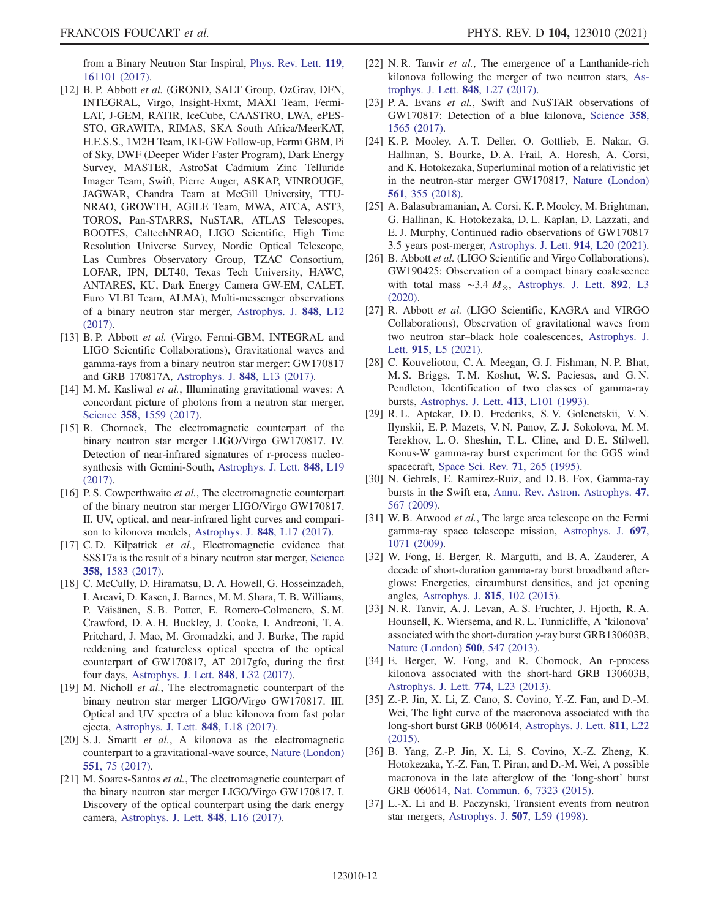from a Binary Neutron Star Inspiral, [Phys. Rev. Lett.](https://doi.org/10.1103/PhysRevLett.119.161101) 119, [161101 \(2017\).](https://doi.org/10.1103/PhysRevLett.119.161101)

- [12] B. P. Abbott et al. (GROND, SALT Group, OzGrav, DFN, INTEGRAL, Virgo, Insight-Hxmt, MAXI Team, Fermi-LAT, J-GEM, RATIR, IceCube, CAASTRO, LWA, ePES-STO, GRAWITA, RIMAS, SKA South Africa/MeerKAT, H.E.S.S., 1M2H Team, IKI-GW Follow-up, Fermi GBM, Pi of Sky, DWF (Deeper Wider Faster Program), Dark Energy Survey, MASTER, AstroSat Cadmium Zinc Telluride Imager Team, Swift, Pierre Auger, ASKAP, VINROUGE, JAGWAR, Chandra Team at McGill University, TTU-NRAO, GROWTH, AGILE Team, MWA, ATCA, AST3, TOROS, Pan-STARRS, NuSTAR, ATLAS Telescopes, BOOTES, CaltechNRAO, LIGO Scientific, High Time Resolution Universe Survey, Nordic Optical Telescope, Las Cumbres Observatory Group, TZAC Consortium, LOFAR, IPN, DLT40, Texas Tech University, HAWC, ANTARES, KU, Dark Energy Camera GW-EM, CALET, Euro VLBI Team, ALMA), Multi-messenger observations of a binary neutron star merger, [Astrophys. J.](https://doi.org/10.3847/2041-8213/aa91c9) 848, L12 [\(2017\).](https://doi.org/10.3847/2041-8213/aa91c9)
- [13] B. P. Abbott et al. (Virgo, Fermi-GBM, INTEGRAL and LIGO Scientific Collaborations), Gravitational waves and gamma-rays from a binary neutron star merger: GW170817 and GRB 170817A, [Astrophys. J.](https://doi.org/10.3847/2041-8213/aa920c) 848, L13 (2017).
- [14] M. M. Kasliwal et al., Illuminating gravitational waves: A concordant picture of photons from a neutron star merger, Science 358[, 1559 \(2017\).](https://doi.org/10.1126/science.aap9455)
- [15] R. Chornock, The electromagnetic counterpart of the binary neutron star merger LIGO/Virgo GW170817. IV. Detection of near-infrared signatures of r-process nucleosynthesis with Gemini-South, [Astrophys. J. Lett.](https://doi.org/10.3847/2041-8213/aa905c) 848, L19 [\(2017\).](https://doi.org/10.3847/2041-8213/aa905c)
- [16] P. S. Cowperthwaite et al., The electromagnetic counterpart of the binary neutron star merger LIGO/Virgo GW170817. II. UV, optical, and near-infrared light curves and comparison to kilonova models, [Astrophys. J.](https://doi.org/10.3847/2041-8213/aa8fc7) 848, L17 (2017).
- [17] C. D. Kilpatrick et al., Electromagnetic evidence that SSS17a is the result of a binary neutron star merger, [Science](https://doi.org/10.1126/science.aaq0073) 358[, 1583 \(2017\)](https://doi.org/10.1126/science.aaq0073).
- [18] C. McCully, D. Hiramatsu, D. A. Howell, G. Hosseinzadeh, I. Arcavi, D. Kasen, J. Barnes, M. M. Shara, T. B. Williams, P. Väisänen, S. B. Potter, E. Romero-Colmenero, S. M. Crawford, D. A. H. Buckley, J. Cooke, I. Andreoni, T. A. Pritchard, J. Mao, M. Gromadzki, and J. Burke, The rapid reddening and featureless optical spectra of the optical counterpart of GW170817, AT 2017gfo, during the first four days, [Astrophys. J. Lett.](https://doi.org/10.3847/2041-8213/aa9111) 848, L32 (2017).
- [19] M. Nicholl et al., The electromagnetic counterpart of the binary neutron star merger LIGO/Virgo GW170817. III. Optical and UV spectra of a blue kilonova from fast polar ejecta, [Astrophys. J. Lett.](https://doi.org/10.3847/2041-8213/aa9029) 848, L18 (2017).
- [20] S.J. Smartt et al., A kilonova as the electromagnetic counterpart to a gravitational-wave source, [Nature \(London\)](https://doi.org/10.1038/nature24303) 551[, 75 \(2017\).](https://doi.org/10.1038/nature24303)
- [21] M. Soares-Santos et al., The electromagnetic counterpart of the binary neutron star merger LIGO/Virgo GW170817. I. Discovery of the optical counterpart using the dark energy camera, [Astrophys. J. Lett.](https://doi.org/10.3847/2041-8213/aa9059) 848, L16 (2017).
- [22] N. R. Tanvir et al., The emergence of a Lanthanide-rich kilonova following the merger of two neutron stars, [As](https://doi.org/10.3847/2041-8213/aa90b6)[trophys. J. Lett.](https://doi.org/10.3847/2041-8213/aa90b6) 848, L27 (2017).
- [23] P. A. Evans et al., Swift and NuSTAR observations of GW170817: Detection of a blue kilonova, [Science](https://doi.org/10.1126/science.aap9580) 358, [1565 \(2017\)](https://doi.org/10.1126/science.aap9580).
- [24] K. P. Mooley, A. T. Deller, O. Gottlieb, E. Nakar, G. Hallinan, S. Bourke, D. A. Frail, A. Horesh, A. Corsi, and K. Hotokezaka, Superluminal motion of a relativistic jet in the neutron-star merger GW170817, [Nature \(London\)](https://doi.org/10.1038/s41586-018-0486-3) 561[, 355 \(2018\)](https://doi.org/10.1038/s41586-018-0486-3).
- <span id="page-12-0"></span>[25] A. Balasubramanian, A. Corsi, K. P. Mooley, M. Brightman, G. Hallinan, K. Hotokezaka, D. L. Kaplan, D. Lazzati, and E. J. Murphy, Continued radio observations of GW170817 3.5 years post-merger, [Astrophys. J. Lett.](https://doi.org/10.3847/2041-8213/abfd38) 914, L20 (2021).
- <span id="page-12-1"></span>[26] B. Abbott et al. (LIGO Scientific and Virgo Collaborations), GW190425: Observation of a compact binary coalescence with total mass ~3.4  $M_{\odot}$ , [Astrophys. J. Lett.](https://doi.org/10.3847/2041-8213/ab75f5) 892, L3 [\(2020\).](https://doi.org/10.3847/2041-8213/ab75f5)
- <span id="page-12-2"></span>[27] R. Abbott et al. (LIGO Scientific, KAGRA and VIRGO Collaborations), Observation of gravitational waves from two neutron star–black hole coalescences, [Astrophys. J.](https://doi.org/10.3847/2041-8213/ac082e) Lett. 915[, L5 \(2021\)](https://doi.org/10.3847/2041-8213/ac082e).
- <span id="page-12-3"></span>[28] C. Kouveliotou, C. A. Meegan, G. J. Fishman, N. P. Bhat, M. S. Briggs, T. M. Koshut, W. S. Paciesas, and G. N. Pendleton, Identification of two classes of gamma-ray bursts, [Astrophys. J. Lett.](https://doi.org/10.1086/186969) 413, L101 (1993).
- [29] R. L. Aptekar, D. D. Frederiks, S. V. Golenetskii, V. N. Ilynskii, E. P. Mazets, V. N. Panov, Z. J. Sokolova, M. M. Terekhov, L. O. Sheshin, T. L. Cline, and D. E. Stilwell, Konus-W gamma-ray burst experiment for the GGS wind spacecraft, [Space Sci. Rev.](https://doi.org/10.1007/BF00751332) 71, 265 (1995).
- [30] N. Gehrels, E. Ramirez-Ruiz, and D. B. Fox, Gamma-ray bursts in the Swift era, [Annu. Rev. Astron. Astrophys.](https://doi.org/10.1146/annurev.astro.46.060407.145147) 47, [567 \(2009\)](https://doi.org/10.1146/annurev.astro.46.060407.145147).
- [31] W. B. Atwood et al., The large area telescope on the Fermi gamma-ray space telescope mission, [Astrophys. J.](https://doi.org/10.1088/0004-637X/697/2/1071) 697, [1071 \(2009\)](https://doi.org/10.1088/0004-637X/697/2/1071).
- <span id="page-12-4"></span>[32] W. Fong, E. Berger, R. Margutti, and B. A. Zauderer, A decade of short-duration gamma-ray burst broadband afterglows: Energetics, circumburst densities, and jet opening angles, [Astrophys. J.](https://doi.org/10.1088/0004-637X/815/2/102) 815, 102 (2015).
- <span id="page-12-5"></span>[33] N. R. Tanvir, A. J. Levan, A. S. Fruchter, J. Hjorth, R. A. Hounsell, K. Wiersema, and R. L. Tunnicliffe, A 'kilonova' associated with the short-duration γ-ray burst GRB130603B, [Nature \(London\)](https://doi.org/10.1038/nature12505) 500, 547 (2013).
- [34] E. Berger, W. Fong, and R. Chornock, An r-process kilonova associated with the short-hard GRB 130603B, [Astrophys. J. Lett.](https://doi.org/10.1088/2041-8205/774/2/L23) 774, L23 (2013).
- [35] Z.-P. Jin, X. Li, Z. Cano, S. Covino, Y.-Z. Fan, and D.-M. Wei, The light curve of the macronova associated with the long-short burst GRB 060614, [Astrophys. J. Lett.](https://doi.org/10.1088/2041-8205/811/2/L22) 811, L22 [\(2015\).](https://doi.org/10.1088/2041-8205/811/2/L22)
- <span id="page-12-6"></span>[36] B. Yang, Z.-P. Jin, X. Li, S. Covino, X.-Z. Zheng, K. Hotokezaka, Y.-Z. Fan, T. Piran, and D.-M. Wei, A possible macronova in the late afterglow of the 'long-short' burst GRB 060614, [Nat. Commun.](https://doi.org/10.1038/ncomms8323) 6, 7323 (2015).
- <span id="page-12-7"></span>[37] L.-X. Li and B. Paczynski, Transient events from neutron star mergers, [Astrophys. J.](https://doi.org/10.1086/311680) 507, L59 (1998).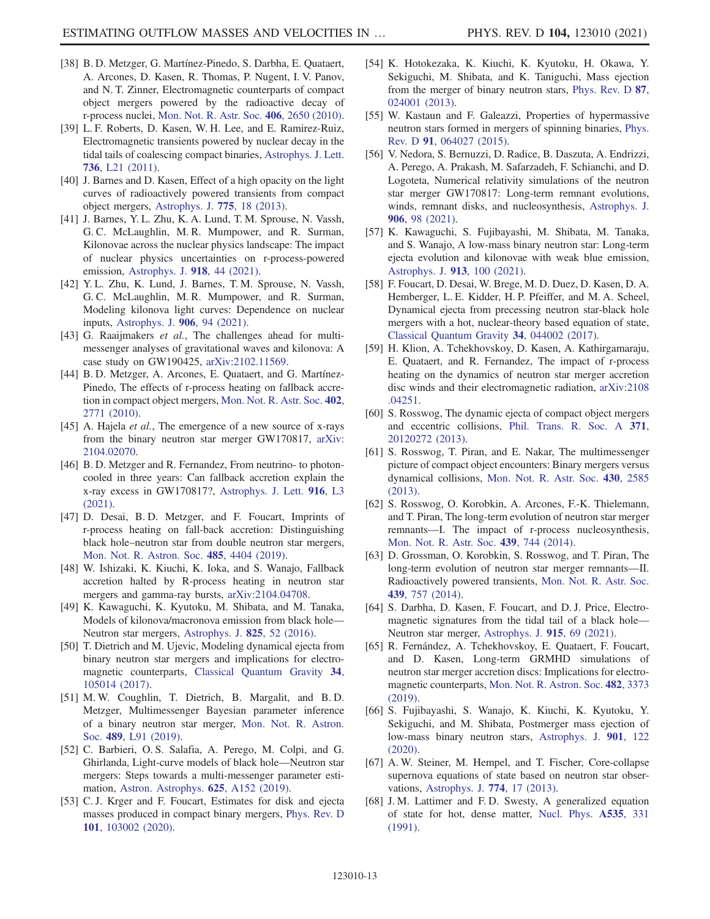- [38] B. D. Metzger, G. Martínez-Pinedo, S. Darbha, E. Quataert, A. Arcones, D. Kasen, R. Thomas, P. Nugent, I. V. Panov, and N. T. Zinner, Electromagnetic counterparts of compact object mergers powered by the radioactive decay of r-process nuclei, [Mon. Not. R. Astr. Soc.](https://doi.org/10.1111/j.1365-2966.2010.16864.x) 406, 2650 (2010).
- <span id="page-13-0"></span>[39] L. F. Roberts, D. Kasen, W. H. Lee, and E. Ramirez-Ruiz, Electromagnetic transients powered by nuclear decay in the tidal tails of coalescing compact binaries, [Astrophys. J. Lett.](https://doi.org/10.1088/2041-8205/736/1/L21) 736[, L21 \(2011\)](https://doi.org/10.1088/2041-8205/736/1/L21).
- <span id="page-13-1"></span>[40] J. Barnes and D. Kasen, Effect of a high opacity on the light curves of radioactively powered transients from compact object mergers, [Astrophys. J.](https://doi.org/10.1088/0004-637X/775/1/18) 775, 18 (2013).
- <span id="page-13-2"></span>[41] J. Barnes, Y. L. Zhu, K. A. Lund, T. M. Sprouse, N. Vassh, G. C. McLaughlin, M. R. Mumpower, and R. Surman, Kilonovae across the nuclear physics landscape: The impact of nuclear physics uncertainties on r-process-powered emission, [Astrophys. J.](https://doi.org/10.3847/1538-4357/ac0aec) 918, 44 (2021).
- [42] Y. L. Zhu, K. Lund, J. Barnes, T. M. Sprouse, N. Vassh, G. C. McLaughlin, M. R. Mumpower, and R. Surman, Modeling kilonova light curves: Dependence on nuclear inputs, [Astrophys. J.](https://doi.org/10.3847/1538-4357/abc69e) 906, 94 (2021).
- <span id="page-13-3"></span>[43] G. Raaijmakers et al., The challenges ahead for multimessenger analyses of gravitational waves and kilonova: A case study on GW190425, [arXiv:2102.11569.](https://arXiv.org/abs/2102.11569)
- <span id="page-13-4"></span>[44] B.D. Metzger, A. Arcones, E. Quataert, and G. Martínez-Pinedo, The effects of r-process heating on fallback accretion in compact object mergers, [Mon. Not. R. Astr. Soc.](https://doi.org/10.1111/j.1365-2966.2009.16107.x) 402, [2771 \(2010\)](https://doi.org/10.1111/j.1365-2966.2009.16107.x).
- <span id="page-13-5"></span>[45] A. Hajela et al., The emergence of a new source of x-rays from the binary neutron star merger GW170817, [arXiv:](https://arXiv.org/abs/2104.02070) [2104.02070.](https://arXiv.org/abs/2104.02070)
- <span id="page-13-6"></span>[46] B.D. Metzger and R. Fernandez, From neutrino- to photoncooled in three years: Can fallback accretion explain the x-ray excess in GW170817?, [Astrophys. J. Lett.](https://doi.org/10.3847/2041-8213/ac1169) 916, L3 [\(2021\).](https://doi.org/10.3847/2041-8213/ac1169)
- <span id="page-13-7"></span>[47] D. Desai, B. D. Metzger, and F. Foucart, Imprints of r-process heating on fall-back accretion: Distinguishing black hole–neutron star from double neutron star mergers, [Mon. Not. R. Astron. Soc.](https://doi.org/10.1093/mnras/stz644) 485, 4404 (2019).
- <span id="page-13-8"></span>[48] W. Ishizaki, K. Kiuchi, K. Ioka, and S. Wanajo, Fallback accretion halted by R-process heating in neutron star mergers and gamma-ray bursts, [arXiv:2104.04708](https://arXiv.org/abs/2104.04708).
- <span id="page-13-9"></span>[49] K. Kawaguchi, K. Kyutoku, M. Shibata, and M. Tanaka, Models of kilonova/macronova emission from black hole— Neutron star mergers, [Astrophys. J.](https://doi.org/10.3847/0004-637X/825/1/52) 825, 52 (2016).
- [50] T. Dietrich and M. Ujevic, Modeling dynamical ejecta from binary neutron star mergers and implications for electromagnetic counterparts, [Classical Quantum Gravity](https://doi.org/10.1088/1361-6382/aa6bb0) 34, [105014 \(2017\).](https://doi.org/10.1088/1361-6382/aa6bb0)
- [51] M. W. Coughlin, T. Dietrich, B. Margalit, and B. D. Metzger, Multimessenger Bayesian parameter inference of a binary neutron star merger, [Mon. Not. R. Astron.](https://doi.org/10.1093/mnrasl/slz133) Soc. 489[, L91 \(2019\)](https://doi.org/10.1093/mnrasl/slz133).
- [52] C. Barbieri, O. S. Salafia, A. Perego, M. Colpi, and G. Ghirlanda, Light-curve models of black hole—Neutron star mergers: Steps towards a multi-messenger parameter estimation, [Astron. Astrophys.](https://doi.org/10.1051/0004-6361/201935443) 625, A152 (2019).
- <span id="page-13-10"></span>[53] C. J. Krger and F. Foucart, Estimates for disk and ejecta masses produced in compact binary mergers, [Phys. Rev. D](https://doi.org/10.1103/PhysRevD.101.103002) 101[, 103002 \(2020\).](https://doi.org/10.1103/PhysRevD.101.103002)
- <span id="page-13-11"></span>[54] K. Hotokezaka, K. Kiuchi, K. Kyutoku, H. Okawa, Y. Sekiguchi, M. Shibata, and K. Taniguchi, Mass ejection from the merger of binary neutron stars, [Phys. Rev. D](https://doi.org/10.1103/PhysRevD.87.024001) 87, [024001 \(2013\).](https://doi.org/10.1103/PhysRevD.87.024001)
- <span id="page-13-12"></span>[55] W. Kastaun and F. Galeazzi, Properties of hypermassive neutron stars formed in mergers of spinning binaries, [Phys.](https://doi.org/10.1103/PhysRevD.91.064027) Rev. D 91[, 064027 \(2015\)](https://doi.org/10.1103/PhysRevD.91.064027).
- <span id="page-13-13"></span>[56] V. Nedora, S. Bernuzzi, D. Radice, B. Daszuta, A. Endrizzi, A. Perego, A. Prakash, M. Safarzadeh, F. Schianchi, and D. Logoteta, Numerical relativity simulations of the neutron star merger GW170817: Long-term remnant evolutions, winds, remnant disks, and nucleosynthesis, [Astrophys. J.](https://doi.org/10.3847/1538-4357/abc9be) 906[, 98 \(2021\).](https://doi.org/10.3847/1538-4357/abc9be)
- <span id="page-13-14"></span>[57] K. Kawaguchi, S. Fujibayashi, M. Shibata, M. Tanaka, and S. Wanajo, A low-mass binary neutron star: Long-term ejecta evolution and kilonovae with weak blue emission, [Astrophys. J.](https://doi.org/10.3847/1538-4357/abf3bc) 913, 100 (2021).
- <span id="page-13-15"></span>[58] F. Foucart, D. Desai, W. Brege, M. D. Duez, D. Kasen, D. A. Hemberger, L. E. Kidder, H. P. Pfeiffer, and M. A. Scheel, Dynamical ejecta from precessing neutron star-black hole mergers with a hot, nuclear-theory based equation of state, [Classical Quantum Gravity](https://doi.org/10.1088/1361-6382/aa573b) 34, 044002 (2017).
- <span id="page-13-16"></span>[59] H. Klion, A. Tchekhovskoy, D. Kasen, A. Kathirgamaraju, E. Quataert, and R. Fernandez, The impact of r-process heating on the dynamics of neutron star merger accretion disc winds and their electromagnetic radiation, [arXiv:2108](https://arXiv.org/abs/2108.04251) [.04251.](https://arXiv.org/abs/2108.04251)
- <span id="page-13-17"></span>[60] S. Rosswog, The dynamic ejecta of compact object mergers and eccentric collisions, [Phil. Trans. R. Soc. A](https://doi.org/10.1098/rsta.2012.0272) 371, [20120272 \(2013\)](https://doi.org/10.1098/rsta.2012.0272).
- <span id="page-13-18"></span>[61] S. Rosswog, T. Piran, and E. Nakar, The multimessenger picture of compact object encounters: Binary mergers versus dynamical collisions, [Mon. Not. R. Astr. Soc.](https://doi.org/10.1093/mnras/sts708) 430, 2585 [\(2013\).](https://doi.org/10.1093/mnras/sts708)
- <span id="page-13-19"></span>[62] S. Rosswog, O. Korobkin, A. Arcones, F.-K. Thielemann, and T. Piran, The long-term evolution of neutron star merger remnants—I. The impact of r-process nucleosynthesis, [Mon. Not. R. Astr. Soc.](https://doi.org/10.1093/mnras/stt2502) 439, 744 (2014).
- <span id="page-13-20"></span>[63] D. Grossman, O. Korobkin, S. Rosswog, and T. Piran, The long-term evolution of neutron star merger remnants—II. Radioactively powered transients, [Mon. Not. R. Astr. Soc.](https://doi.org/10.1093/mnras/stt2503) 439[, 757 \(2014\)](https://doi.org/10.1093/mnras/stt2503).
- <span id="page-13-21"></span>[64] S. Darbha, D. Kasen, F. Foucart, and D. J. Price, Electromagnetic signatures from the tidal tail of a black hole— Neutron star merger, [Astrophys. J.](https://doi.org/10.3847/1538-4357/abff5d) 915, 69 (2021).
- <span id="page-13-22"></span>[65] R. Fernández, A. Tchekhovskoy, E. Quataert, F. Foucart, and D. Kasen, Long-term GRMHD simulations of neutron star merger accretion discs: Implications for electromagnetic counterparts, [Mon. Not. R. Astron. Soc.](https://doi.org/10.1093/mnras/sty2932) 482, 3373 [\(2019\).](https://doi.org/10.1093/mnras/sty2932)
- <span id="page-13-23"></span>[66] S. Fujibayashi, S. Wanajo, K. Kiuchi, K. Kyutoku, Y. Sekiguchi, and M. Shibata, Postmerger mass ejection of low-mass binary neutron stars, [Astrophys. J.](https://doi.org/10.3847/1538-4357/abafc2) 901, 122 [\(2020\).](https://doi.org/10.3847/1538-4357/abafc2)
- <span id="page-13-24"></span>[67] A. W. Steiner, M. Hempel, and T. Fischer, Core-collapse supernova equations of state based on neutron star observations, [Astrophys. J.](https://doi.org/10.1088/0004-637X/774/1/17) 774, 17 (2013).
- <span id="page-13-25"></span>[68] J. M. Lattimer and F. D. Swesty, A generalized equation of state for hot, dense matter, [Nucl. Phys.](https://doi.org/10.1016/0375-9474(91)90452-C) A535, 331 [\(1991\).](https://doi.org/10.1016/0375-9474(91)90452-C)